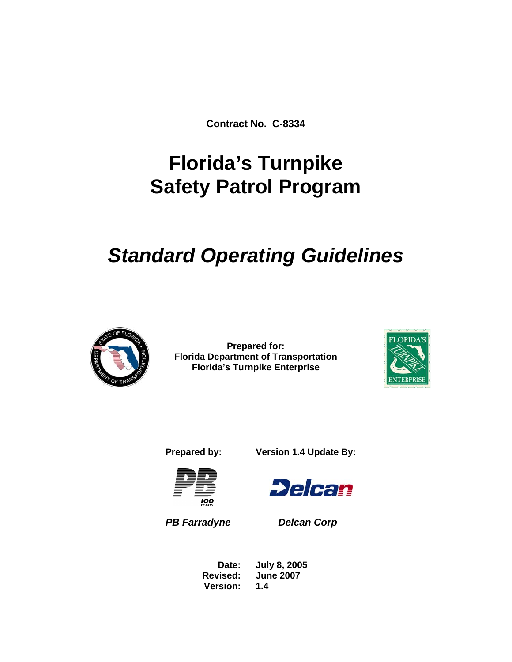**Contract No. C-8334** 

# **Florida's Turnpike Safety Patrol Program**

# *Standard Operating Guidelines*



**Prepared for: Florida Department of Transportation Florida's Turnpike Enterprise** 



**Prepared by: Version 1.4 Update By:** 



*PB Farradyne Delcan Corp* 

**Delcan** 

 **Date: July 8, 2005 Revised: June 2007 Version: 1.4**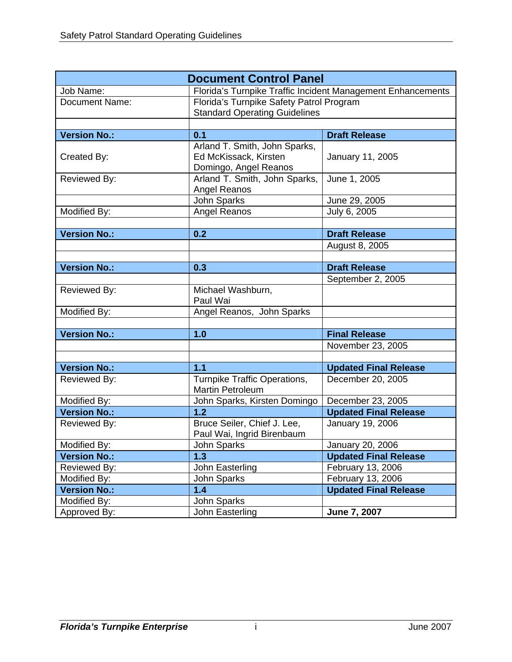|                     | <b>Document Control Panel</b>                                                    |                                                             |
|---------------------|----------------------------------------------------------------------------------|-------------------------------------------------------------|
| Job Name:           |                                                                                  | Florida's Turnpike Traffic Incident Management Enhancements |
| Document Name:      | Florida's Turnpike Safety Patrol Program<br><b>Standard Operating Guidelines</b> |                                                             |
|                     |                                                                                  |                                                             |
| <b>Version No.:</b> | 0.1                                                                              | <b>Draft Release</b>                                        |
| Created By:         | Arland T. Smith, John Sparks,<br>Ed McKissack, Kirsten<br>Domingo, Angel Reanos  | January 11, 2005                                            |
| Reviewed By:        | Arland T. Smith, John Sparks,<br>Angel Reanos                                    | June 1, 2005                                                |
|                     | <b>John Sparks</b>                                                               | June 29, 2005                                               |
| Modified By:        | Angel Reanos                                                                     | July 6, 2005                                                |
|                     |                                                                                  |                                                             |
| <b>Version No.:</b> | 0.2                                                                              | <b>Draft Release</b>                                        |
|                     |                                                                                  | August 8, 2005                                              |
|                     |                                                                                  |                                                             |
| <b>Version No.:</b> | 0.3                                                                              | <b>Draft Release</b>                                        |
|                     |                                                                                  | September 2, 2005                                           |
| Reviewed By:        | Michael Washburn,<br>Paul Wai                                                    |                                                             |
| Modified By:        | Angel Reanos, John Sparks                                                        |                                                             |
|                     |                                                                                  |                                                             |
| <b>Version No.:</b> | 1.0                                                                              | <b>Final Release</b>                                        |
|                     |                                                                                  | November 23, 2005                                           |
|                     |                                                                                  |                                                             |
| <b>Version No.:</b> | 1.1                                                                              | <b>Updated Final Release</b>                                |
| Reviewed By:        | Turnpike Traffic Operations,<br><b>Martin Petroleum</b>                          | December 20, 2005                                           |
| Modified By:        | John Sparks, Kirsten Domingo                                                     | December 23, 2005                                           |
| <b>Version No.:</b> | 1.2                                                                              | <b>Updated Final Release</b>                                |
| Reviewed By:        | Bruce Seiler, Chief J. Lee,<br>Paul Wai, Ingrid Birenbaum                        | January 19, 2006                                            |
| Modified By:        | John Sparks                                                                      | January 20, 2006                                            |
| <b>Version No.:</b> | 1.3                                                                              | <b>Updated Final Release</b>                                |
| Reviewed By:        | John Easterling                                                                  | February 13, 2006                                           |
| Modified By:        | John Sparks                                                                      | February 13, 2006                                           |
| <b>Version No.:</b> | 1.4                                                                              | <b>Updated Final Release</b>                                |
| Modified By:        | John Sparks                                                                      |                                                             |
| Approved By:        | John Easterling                                                                  | June 7, 2007                                                |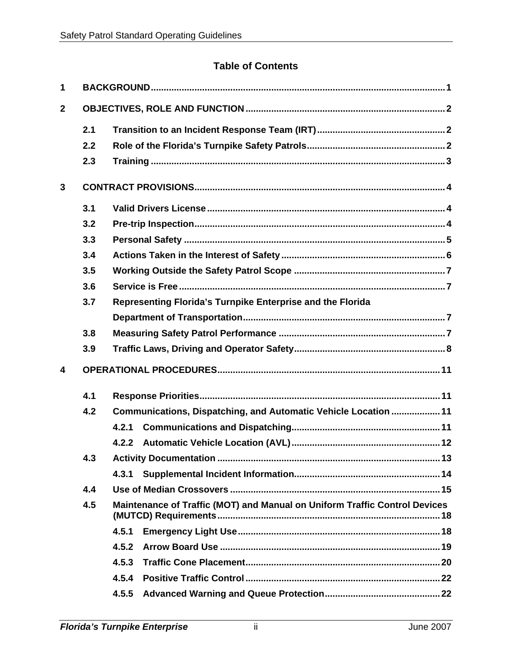## **Table of Contents**

| 1            |     |                                                                            |
|--------------|-----|----------------------------------------------------------------------------|
| $\mathbf{2}$ |     |                                                                            |
|              | 2.1 |                                                                            |
|              | 2.2 |                                                                            |
|              | 2.3 |                                                                            |
| $\mathbf{3}$ |     |                                                                            |
|              | 3.1 |                                                                            |
|              | 3.2 |                                                                            |
|              | 3.3 |                                                                            |
|              | 3.4 |                                                                            |
|              | 3.5 |                                                                            |
|              | 3.6 |                                                                            |
|              | 3.7 | Representing Florida's Turnpike Enterprise and the Florida                 |
|              |     |                                                                            |
|              | 3.8 |                                                                            |
|              | 3.9 |                                                                            |
| 4            |     |                                                                            |
|              | 4.1 |                                                                            |
|              | 4.2 | Communications, Dispatching, and Automatic Vehicle Location  11            |
|              |     | 4.2.1                                                                      |
|              |     | 4.2.2                                                                      |
|              | 4.3 |                                                                            |
|              |     | 4.3.1                                                                      |
|              | 4.4 |                                                                            |
|              | 4.5 | Maintenance of Traffic (MOT) and Manual on Uniform Traffic Control Devices |
|              |     | 4.5.1                                                                      |
|              |     | 4.5.2                                                                      |
|              |     | 4.5.3                                                                      |
|              |     | 4.5.4                                                                      |
|              |     | 4.5.5                                                                      |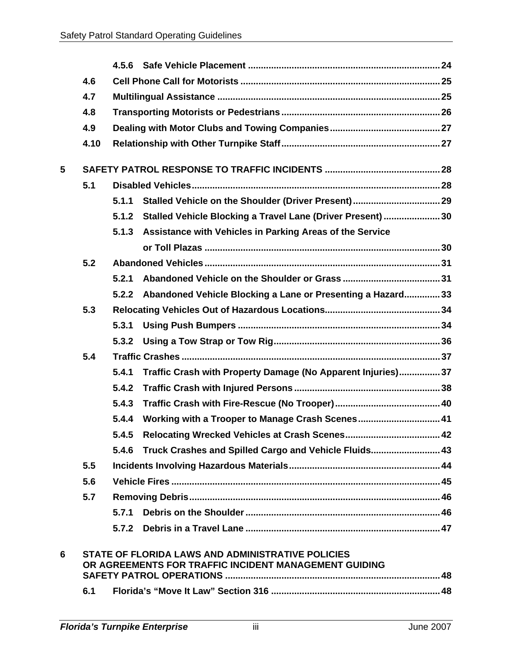|   | 4.6  |       |                                                                                                            |  |
|---|------|-------|------------------------------------------------------------------------------------------------------------|--|
|   | 4.7  |       |                                                                                                            |  |
|   | 4.8  |       |                                                                                                            |  |
|   | 4.9  |       |                                                                                                            |  |
|   | 4.10 |       |                                                                                                            |  |
| 5 |      |       |                                                                                                            |  |
|   | 5.1  |       |                                                                                                            |  |
|   |      | 5.1.1 |                                                                                                            |  |
|   |      |       | 5.1.2 Stalled Vehicle Blocking a Travel Lane (Driver Present) 30                                           |  |
|   |      | 5.1.3 | Assistance with Vehicles in Parking Areas of the Service                                                   |  |
|   |      |       |                                                                                                            |  |
|   | 5.2  |       |                                                                                                            |  |
|   |      | 5.2.1 |                                                                                                            |  |
|   |      | 5.2.2 | Abandoned Vehicle Blocking a Lane or Presenting a Hazard 33                                                |  |
|   | 5.3  |       |                                                                                                            |  |
|   |      | 5.3.1 |                                                                                                            |  |
|   |      | 5.3.2 |                                                                                                            |  |
|   | 5.4  |       |                                                                                                            |  |
|   |      | 5.4.1 | Traffic Crash with Property Damage (No Apparent Injuries) 37                                               |  |
|   |      | 5.4.2 |                                                                                                            |  |
|   |      | 5.4.3 |                                                                                                            |  |
|   |      | 5.4.4 |                                                                                                            |  |
|   |      | 5.4.5 |                                                                                                            |  |
|   |      | 5.4.6 | Truck Crashes and Spilled Cargo and Vehicle Fluids 43                                                      |  |
|   | 5.5  |       |                                                                                                            |  |
|   | 5.6  |       |                                                                                                            |  |
|   | 5.7  |       |                                                                                                            |  |
|   |      | 5.7.1 |                                                                                                            |  |
|   |      |       |                                                                                                            |  |
| 6 |      |       | STATE OF FLORIDA LAWS AND ADMINISTRATIVE POLICIES<br>OR AGREEMENTS FOR TRAFFIC INCIDENT MANAGEMENT GUIDING |  |
|   |      |       | SAFETY PATROL OPERATIONS …………………………………………………………………………………………48                                              |  |
|   | 6.1  |       |                                                                                                            |  |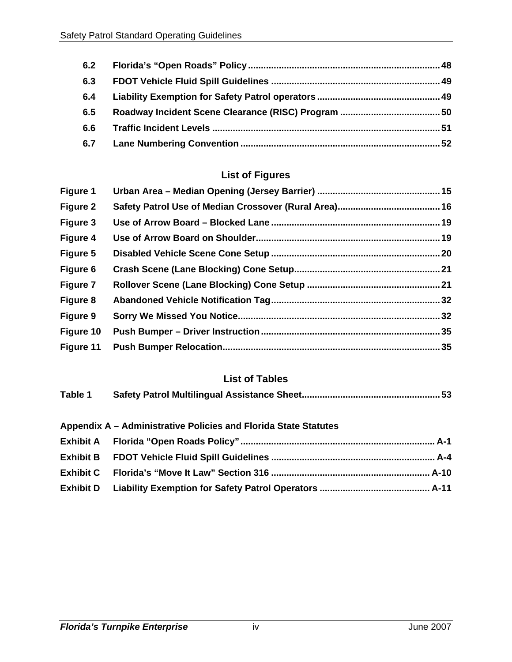| 6.2 |  |
|-----|--|
| 6.3 |  |
| 6.4 |  |
| 6.5 |  |
| 6.6 |  |
| 6.7 |  |

## **List of Figures**

## **List of Tables**

| Table 1 |  |
|---------|--|
|         |  |

## **Appendix A – Administrative Policies and Florida State Statutes**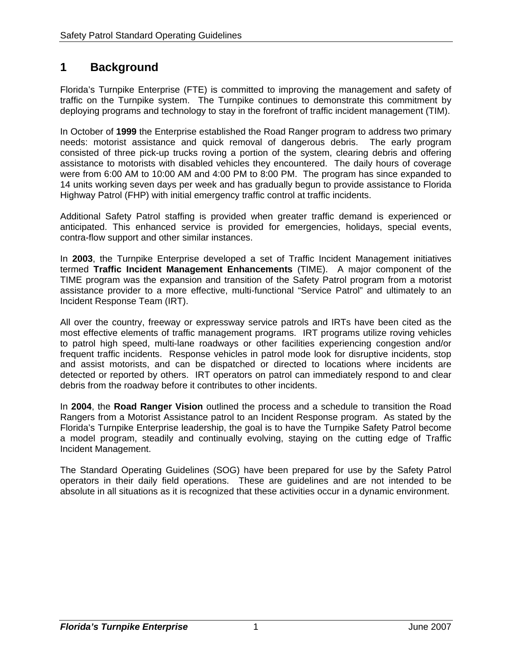# **1 Background**

Florida's Turnpike Enterprise (FTE) is committed to improving the management and safety of traffic on the Turnpike system. The Turnpike continues to demonstrate this commitment by deploying programs and technology to stay in the forefront of traffic incident management (TIM).

In October of **1999** the Enterprise established the Road Ranger program to address two primary needs: motorist assistance and quick removal of dangerous debris. The early program consisted of three pick-up trucks roving a portion of the system, clearing debris and offering assistance to motorists with disabled vehicles they encountered. The daily hours of coverage were from 6:00 AM to 10:00 AM and 4:00 PM to 8:00 PM. The program has since expanded to 14 units working seven days per week and has gradually begun to provide assistance to Florida Highway Patrol (FHP) with initial emergency traffic control at traffic incidents.

Additional Safety Patrol staffing is provided when greater traffic demand is experienced or anticipated. This enhanced service is provided for emergencies, holidays, special events, contra-flow support and other similar instances.

In **2003**, the Turnpike Enterprise developed a set of Traffic Incident Management initiatives termed **Traffic Incident Management Enhancements** (TIME). A major component of the TIME program was the expansion and transition of the Safety Patrol program from a motorist assistance provider to a more effective, multi-functional "Service Patrol" and ultimately to an Incident Response Team (IRT).

All over the country, freeway or expressway service patrols and IRTs have been cited as the most effective elements of traffic management programs. IRT programs utilize roving vehicles to patrol high speed, multi-lane roadways or other facilities experiencing congestion and/or frequent traffic incidents. Response vehicles in patrol mode look for disruptive incidents, stop and assist motorists, and can be dispatched or directed to locations where incidents are detected or reported by others. IRT operators on patrol can immediately respond to and clear debris from the roadway before it contributes to other incidents.

In **2004**, the **Road Ranger Vision** outlined the process and a schedule to transition the Road Rangers from a Motorist Assistance patrol to an Incident Response program. As stated by the Florida's Turnpike Enterprise leadership, the goal is to have the Turnpike Safety Patrol become a model program, steadily and continually evolving, staying on the cutting edge of Traffic Incident Management.

The Standard Operating Guidelines (SOG) have been prepared for use by the Safety Patrol operators in their daily field operations. These are guidelines and are not intended to be absolute in all situations as it is recognized that these activities occur in a dynamic environment.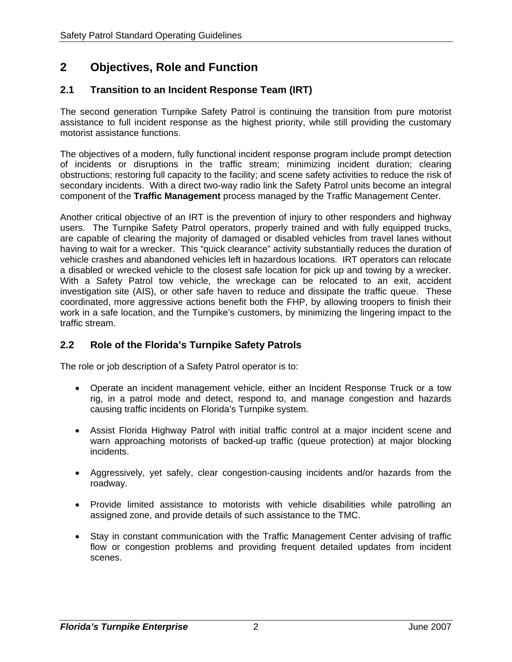# **2 Objectives, Role and Function**

## **2.1 Transition to an Incident Response Team (IRT)**

The second generation Turnpike Safety Patrol is continuing the transition from pure motorist assistance to full incident response as the highest priority, while still providing the customary motorist assistance functions.

The objectives of a modern, fully functional incident response program include prompt detection of incidents or disruptions in the traffic stream; minimizing incident duration; clearing obstructions; restoring full capacity to the facility; and scene safety activities to reduce the risk of secondary incidents. With a direct two-way radio link the Safety Patrol units become an integral component of the **Traffic Management** process managed by the Traffic Management Center.

Another critical objective of an IRT is the prevention of injury to other responders and highway users. The Turnpike Safety Patrol operators, properly trained and with fully equipped trucks, are capable of clearing the majority of damaged or disabled vehicles from travel lanes without having to wait for a wrecker. This "quick clearance" activity substantially reduces the duration of vehicle crashes and abandoned vehicles left in hazardous locations. IRT operators can relocate a disabled or wrecked vehicle to the closest safe location for pick up and towing by a wrecker. With a Safety Patrol tow vehicle, the wreckage can be relocated to an exit, accident investigation site (AIS), or other safe haven to reduce and dissipate the traffic queue. These coordinated, more aggressive actions benefit both the FHP, by allowing troopers to finish their work in a safe location, and the Turnpike's customers, by minimizing the lingering impact to the traffic stream.

## **2.2 Role of the Florida's Turnpike Safety Patrols**

The role or job description of a Safety Patrol operator is to:

- Operate an incident management vehicle, either an Incident Response Truck or a tow rig, in a patrol mode and detect, respond to, and manage congestion and hazards causing traffic incidents on Florida's Turnpike system.
- Assist Florida Highway Patrol with initial traffic control at a major incident scene and warn approaching motorists of backed-up traffic (queue protection) at major blocking incidents.
- Aggressively, yet safely, clear congestion-causing incidents and/or hazards from the roadway.
- Provide limited assistance to motorists with vehicle disabilities while patrolling an assigned zone, and provide details of such assistance to the TMC.
- Stay in constant communication with the Traffic Management Center advising of traffic flow or congestion problems and providing frequent detailed updates from incident scenes.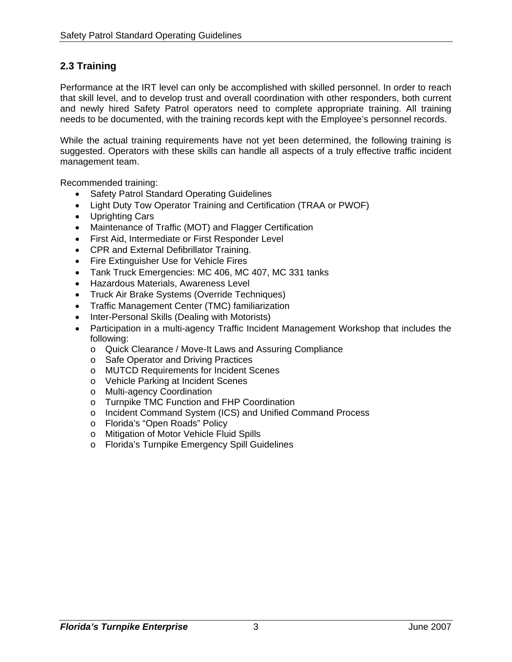## **2.3 Training**

Performance at the IRT level can only be accomplished with skilled personnel. In order to reach that skill level, and to develop trust and overall coordination with other responders, both current and newly hired Safety Patrol operators need to complete appropriate training. All training needs to be documented, with the training records kept with the Employee's personnel records.

While the actual training requirements have not yet been determined, the following training is suggested. Operators with these skills can handle all aspects of a truly effective traffic incident management team.

Recommended training:

- Safety Patrol Standard Operating Guidelines
- Light Duty Tow Operator Training and Certification (TRAA or PWOF)
- Uprighting Cars
- Maintenance of Traffic (MOT) and Flagger Certification
- First Aid, Intermediate or First Responder Level
- CPR and External Defibrillator Training.
- Fire Extinguisher Use for Vehicle Fires
- Tank Truck Emergencies: MC 406, MC 407, MC 331 tanks
- Hazardous Materials, Awareness Level
- Truck Air Brake Systems (Override Techniques)
- Traffic Management Center (TMC) familiarization
- Inter-Personal Skills (Dealing with Motorists)
- Participation in a multi-agency Traffic Incident Management Workshop that includes the following:
	- o Quick Clearance / Move-It Laws and Assuring Compliance
	- o Safe Operator and Driving Practices
	- o MUTCD Requirements for Incident Scenes
	- o Vehicle Parking at Incident Scenes
	- o Multi-agency Coordination
	- o Turnpike TMC Function and FHP Coordination
	- o Incident Command System (ICS) and Unified Command Process
	- o Florida's "Open Roads" Policy
	- o Mitigation of Motor Vehicle Fluid Spills
	- o Florida's Turnpike Emergency Spill Guidelines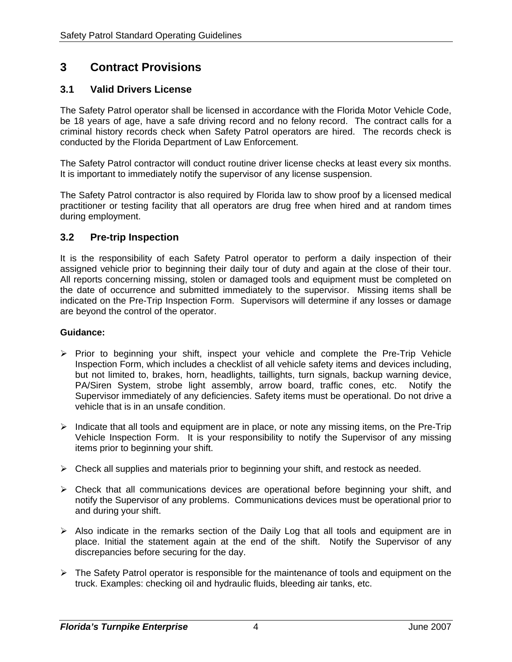# **3 Contract Provisions**

## **3.1 Valid Drivers License**

The Safety Patrol operator shall be licensed in accordance with the Florida Motor Vehicle Code, be 18 years of age, have a safe driving record and no felony record. The contract calls for a criminal history records check when Safety Patrol operators are hired. The records check is conducted by the Florida Department of Law Enforcement.

The Safety Patrol contractor will conduct routine driver license checks at least every six months. It is important to immediately notify the supervisor of any license suspension.

The Safety Patrol contractor is also required by Florida law to show proof by a licensed medical practitioner or testing facility that all operators are drug free when hired and at random times during employment.

#### **3.2 Pre-trip Inspection**

It is the responsibility of each Safety Patrol operator to perform a daily inspection of their assigned vehicle prior to beginning their daily tour of duty and again at the close of their tour. All reports concerning missing, stolen or damaged tools and equipment must be completed on the date of occurrence and submitted immediately to the supervisor. Missing items shall be indicated on the Pre-Trip Inspection Form. Supervisors will determine if any losses or damage are beyond the control of the operator.

- ¾ Prior to beginning your shift, inspect your vehicle and complete the Pre-Trip Vehicle Inspection Form, which includes a checklist of all vehicle safety items and devices including, but not limited to, brakes, horn, headlights, taillights, turn signals, backup warning device, PA/Siren System, strobe light assembly, arrow board, traffic cones, etc. Notify the Supervisor immediately of any deficiencies. Safety items must be operational. Do not drive a vehicle that is in an unsafe condition.
- $\triangleright$  Indicate that all tools and equipment are in place, or note any missing items, on the Pre-Trip Vehicle Inspection Form. It is your responsibility to notify the Supervisor of any missing items prior to beginning your shift.
- ¾ Check all supplies and materials prior to beginning your shift, and restock as needed.
- $\triangleright$  Check that all communications devices are operational before beginning your shift, and notify the Supervisor of any problems. Communications devices must be operational prior to and during your shift.
- $\triangleright$  Also indicate in the remarks section of the Daily Log that all tools and equipment are in place. Initial the statement again at the end of the shift. Notify the Supervisor of any discrepancies before securing for the day.
- $\triangleright$  The Safety Patrol operator is responsible for the maintenance of tools and equipment on the truck. Examples: checking oil and hydraulic fluids, bleeding air tanks, etc.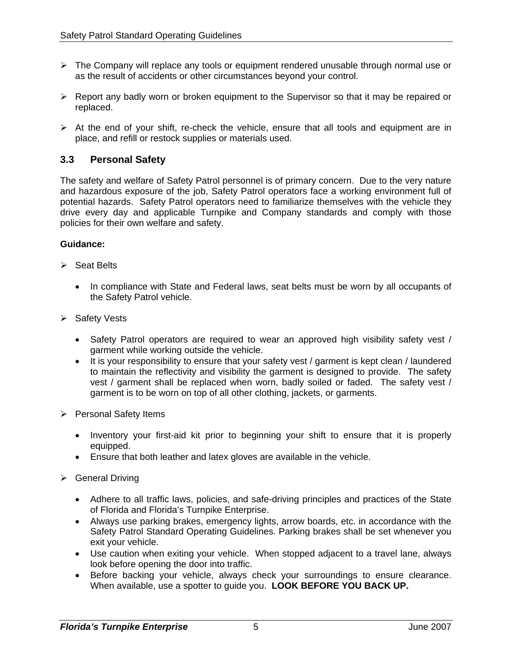- $\triangleright$  The Company will replace any tools or equipment rendered unusable through normal use or as the result of accidents or other circumstances beyond your control.
- ¾ Report any badly worn or broken equipment to the Supervisor so that it may be repaired or replaced.
- ¾ At the end of your shift, re-check the vehicle, ensure that all tools and equipment are in place, and refill or restock supplies or materials used.

## **3.3 Personal Safety**

The safety and welfare of Safety Patrol personnel is of primary concern. Due to the very nature and hazardous exposure of the job, Safety Patrol operators face a working environment full of potential hazards. Safety Patrol operators need to familiarize themselves with the vehicle they drive every day and applicable Turnpike and Company standards and comply with those policies for their own welfare and safety.

- $\triangleright$  Seat Belts
	- In compliance with State and Federal laws, seat belts must be worn by all occupants of the Safety Patrol vehicle.
- ¾ Safety Vests
	- Safety Patrol operators are required to wear an approved high visibility safety vest / garment while working outside the vehicle.
	- It is your responsibility to ensure that your safety vest / garment is kept clean / laundered to maintain the reflectivity and visibility the garment is designed to provide. The safety vest / garment shall be replaced when worn, badly soiled or faded. The safety vest / garment is to be worn on top of all other clothing, jackets, or garments.
- $\triangleright$  Personal Safety Items
	- Inventory your first-aid kit prior to beginning your shift to ensure that it is properly equipped.
	- Ensure that both leather and latex gloves are available in the vehicle.
- $\triangleright$  General Driving
	- Adhere to all traffic laws, policies, and safe-driving principles and practices of the State of Florida and Florida's Turnpike Enterprise.
	- Always use parking brakes, emergency lights, arrow boards, etc. in accordance with the Safety Patrol Standard Operating Guidelines. Parking brakes shall be set whenever you exit your vehicle.
	- Use caution when exiting your vehicle. When stopped adjacent to a travel lane, always look before opening the door into traffic.
	- Before backing your vehicle, always check your surroundings to ensure clearance. When available, use a spotter to guide you. **LOOK BEFORE YOU BACK UP.**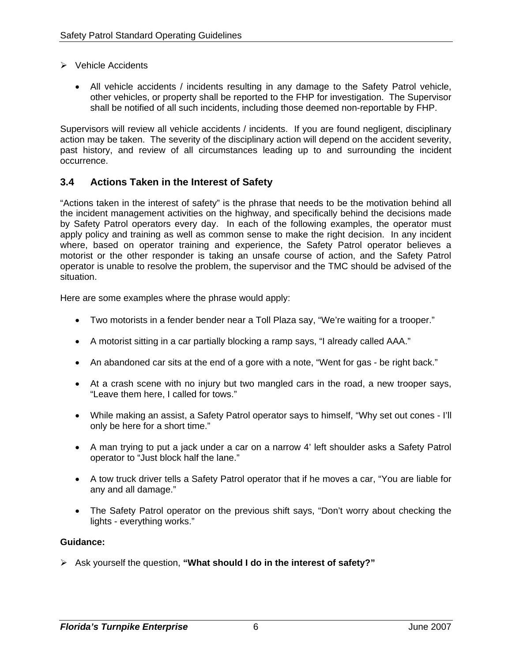- ¾ Vehicle Accidents
	- All vehicle accidents / incidents resulting in any damage to the Safety Patrol vehicle, other vehicles, or property shall be reported to the FHP for investigation. The Supervisor shall be notified of all such incidents, including those deemed non-reportable by FHP.

Supervisors will review all vehicle accidents / incidents. If you are found negligent, disciplinary action may be taken. The severity of the disciplinary action will depend on the accident severity, past history, and review of all circumstances leading up to and surrounding the incident occurrence.

## **3.4 Actions Taken in the Interest of Safety**

"Actions taken in the interest of safety" is the phrase that needs to be the motivation behind all the incident management activities on the highway, and specifically behind the decisions made by Safety Patrol operators every day. In each of the following examples, the operator must apply policy and training as well as common sense to make the right decision. In any incident where, based on operator training and experience, the Safety Patrol operator believes a motorist or the other responder is taking an unsafe course of action, and the Safety Patrol operator is unable to resolve the problem, the supervisor and the TMC should be advised of the situation.

Here are some examples where the phrase would apply:

- Two motorists in a fender bender near a Toll Plaza say, "We're waiting for a trooper."
- A motorist sitting in a car partially blocking a ramp says, "I already called AAA."
- An abandoned car sits at the end of a gore with a note, "Went for gas be right back."
- At a crash scene with no injury but two mangled cars in the road, a new trooper says, "Leave them here, I called for tows."
- While making an assist, a Safety Patrol operator says to himself, "Why set out cones I'll only be here for a short time."
- A man trying to put a jack under a car on a narrow 4' left shoulder asks a Safety Patrol operator to "Just block half the lane."
- A tow truck driver tells a Safety Patrol operator that if he moves a car, "You are liable for any and all damage."
- The Safety Patrol operator on the previous shift says, "Don't worry about checking the lights - everything works."

#### **Guidance:**

¾ Ask yourself the question, **"What should I do in the interest of safety?"**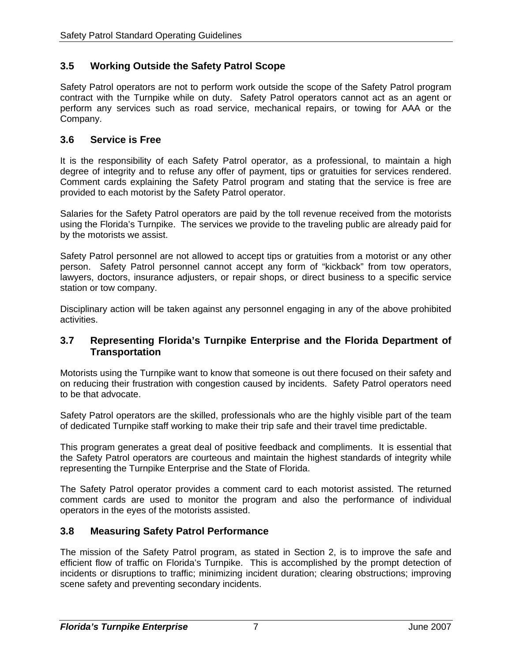## **3.5 Working Outside the Safety Patrol Scope**

Safety Patrol operators are not to perform work outside the scope of the Safety Patrol program contract with the Turnpike while on duty. Safety Patrol operators cannot act as an agent or perform any services such as road service, mechanical repairs, or towing for AAA or the Company.

## **3.6 Service is Free**

It is the responsibility of each Safety Patrol operator, as a professional, to maintain a high degree of integrity and to refuse any offer of payment, tips or gratuities for services rendered. Comment cards explaining the Safety Patrol program and stating that the service is free are provided to each motorist by the Safety Patrol operator.

Salaries for the Safety Patrol operators are paid by the toll revenue received from the motorists using the Florida's Turnpike. The services we provide to the traveling public are already paid for by the motorists we assist.

Safety Patrol personnel are not allowed to accept tips or gratuities from a motorist or any other person. Safety Patrol personnel cannot accept any form of "kickback" from tow operators, lawyers, doctors, insurance adjusters, or repair shops, or direct business to a specific service station or tow company.

Disciplinary action will be taken against any personnel engaging in any of the above prohibited activities.

#### **3.7 Representing Florida's Turnpike Enterprise and the Florida Department of Transportation**

Motorists using the Turnpike want to know that someone is out there focused on their safety and on reducing their frustration with congestion caused by incidents. Safety Patrol operators need to be that advocate.

Safety Patrol operators are the skilled, professionals who are the highly visible part of the team of dedicated Turnpike staff working to make their trip safe and their travel time predictable.

This program generates a great deal of positive feedback and compliments. It is essential that the Safety Patrol operators are courteous and maintain the highest standards of integrity while representing the Turnpike Enterprise and the State of Florida.

The Safety Patrol operator provides a comment card to each motorist assisted. The returned comment cards are used to monitor the program and also the performance of individual operators in the eyes of the motorists assisted.

## **3.8 Measuring Safety Patrol Performance**

The mission of the Safety Patrol program, as stated in Section 2, is to improve the safe and efficient flow of traffic on Florida's Turnpike. This is accomplished by the prompt detection of incidents or disruptions to traffic; minimizing incident duration; clearing obstructions; improving scene safety and preventing secondary incidents.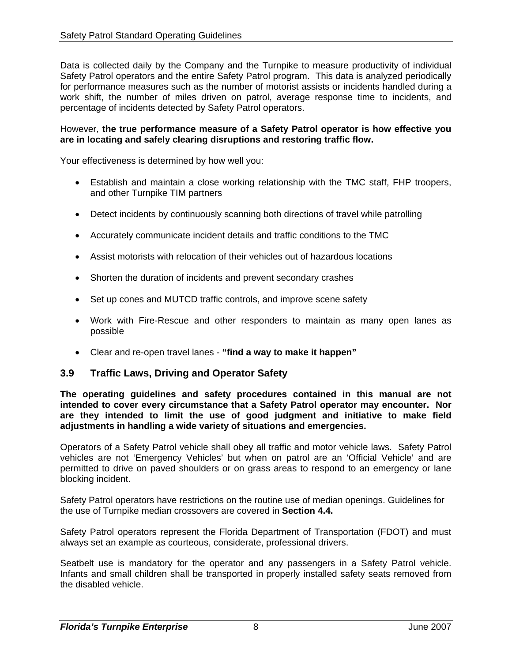Data is collected daily by the Company and the Turnpike to measure productivity of individual Safety Patrol operators and the entire Safety Patrol program. This data is analyzed periodically for performance measures such as the number of motorist assists or incidents handled during a work shift, the number of miles driven on patrol, average response time to incidents, and percentage of incidents detected by Safety Patrol operators.

#### However, **the true performance measure of a Safety Patrol operator is how effective you are in locating and safely clearing disruptions and restoring traffic flow.**

Your effectiveness is determined by how well you:

- Establish and maintain a close working relationship with the TMC staff, FHP troopers, and other Turnpike TIM partners
- Detect incidents by continuously scanning both directions of travel while patrolling
- Accurately communicate incident details and traffic conditions to the TMC
- Assist motorists with relocation of their vehicles out of hazardous locations
- Shorten the duration of incidents and prevent secondary crashes
- Set up cones and MUTCD traffic controls, and improve scene safety
- Work with Fire-Rescue and other responders to maintain as many open lanes as possible
- Clear and re-open travel lanes **"find a way to make it happen"**

#### **3.9 Traffic Laws, Driving and Operator Safety**

**The operating guidelines and safety procedures contained in this manual are not intended to cover every circumstance that a Safety Patrol operator may encounter. Nor are they intended to limit the use of good judgment and initiative to make field adjustments in handling a wide variety of situations and emergencies.** 

Operators of a Safety Patrol vehicle shall obey all traffic and motor vehicle laws. Safety Patrol vehicles are not 'Emergency Vehicles' but when on patrol are an 'Official Vehicle' and are permitted to drive on paved shoulders or on grass areas to respond to an emergency or lane blocking incident.

Safety Patrol operators have restrictions on the routine use of median openings. Guidelines for the use of Turnpike median crossovers are covered in **Section 4.4.** 

Safety Patrol operators represent the Florida Department of Transportation (FDOT) and must always set an example as courteous, considerate, professional drivers.

Seatbelt use is mandatory for the operator and any passengers in a Safety Patrol vehicle. Infants and small children shall be transported in properly installed safety seats removed from the disabled vehicle.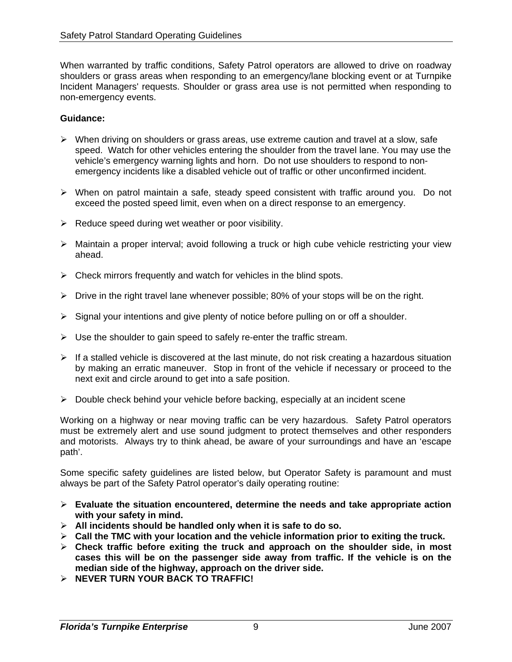When warranted by traffic conditions, Safety Patrol operators are allowed to drive on roadway shoulders or grass areas when responding to an emergency/lane blocking event or at Turnpike Incident Managers' requests. Shoulder or grass area use is not permitted when responding to non-emergency events.

#### **Guidance:**

- $\triangleright$  When driving on shoulders or grass areas, use extreme caution and travel at a slow, safe speed. Watch for other vehicles entering the shoulder from the travel lane. You may use the vehicle's emergency warning lights and horn. Do not use shoulders to respond to nonemergency incidents like a disabled vehicle out of traffic or other unconfirmed incident.
- ¾ When on patrol maintain a safe, steady speed consistent with traffic around you. Do not exceed the posted speed limit, even when on a direct response to an emergency.
- $\triangleright$  Reduce speed during wet weather or poor visibility.
- ¾ Maintain a proper interval; avoid following a truck or high cube vehicle restricting your view ahead.
- $\triangleright$  Check mirrors frequently and watch for vehicles in the blind spots.
- $\triangleright$  Drive in the right travel lane whenever possible; 80% of your stops will be on the right.
- $\triangleright$  Signal your intentions and give plenty of notice before pulling on or off a shoulder.
- $\triangleright$  Use the shoulder to gain speed to safely re-enter the traffic stream.
- $\triangleright$  If a stalled vehicle is discovered at the last minute, do not risk creating a hazardous situation by making an erratic maneuver. Stop in front of the vehicle if necessary or proceed to the next exit and circle around to get into a safe position.
- $\triangleright$  Double check behind your vehicle before backing, especially at an incident scene

Working on a highway or near moving traffic can be very hazardous. Safety Patrol operators must be extremely alert and use sound judgment to protect themselves and other responders and motorists. Always try to think ahead, be aware of your surroundings and have an 'escape path'.

Some specific safety guidelines are listed below, but Operator Safety is paramount and must always be part of the Safety Patrol operator's daily operating routine:

- ¾ **Evaluate the situation encountered, determine the needs and take appropriate action with your safety in mind.**
- ¾ **All incidents should be handled only when it is safe to do so.**
- ¾ **Call the TMC with your location and the vehicle information prior to exiting the truck.**
- ¾ **Check traffic before exiting the truck and approach on the shoulder side, in most cases this will be on the passenger side away from traffic. If the vehicle is on the median side of the highway, approach on the driver side.**
- ¾ **NEVER TURN YOUR BACK TO TRAFFIC!**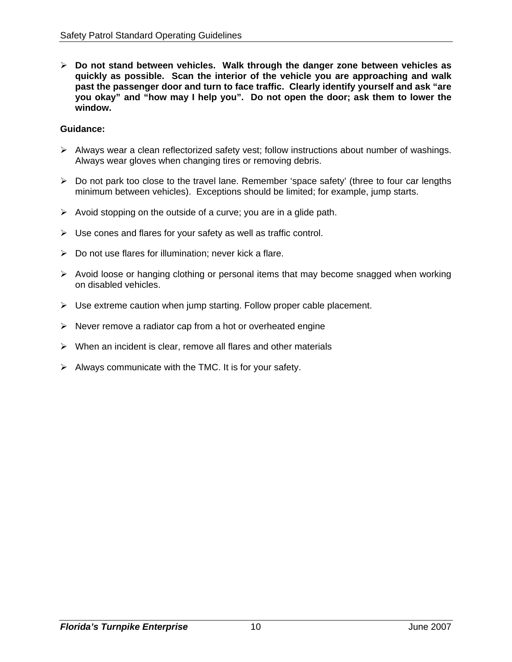¾ **Do not stand between vehicles. Walk through the danger zone between vehicles as quickly as possible. Scan the interior of the vehicle you are approaching and walk past the passenger door and turn to face traffic. Clearly identify yourself and ask "are you okay" and "how may I help you". Do not open the door; ask them to lower the window.** 

- $\triangleright$  Always wear a clean reflectorized safety vest; follow instructions about number of washings. Always wear gloves when changing tires or removing debris.
- $\triangleright$  Do not park too close to the travel lane. Remember 'space safety' (three to four car lengths minimum between vehicles). Exceptions should be limited; for example, jump starts.
- $\triangleright$  Avoid stopping on the outside of a curve; you are in a glide path.
- $\triangleright$  Use cones and flares for your safety as well as traffic control.
- $\triangleright$  Do not use flares for illumination; never kick a flare.
- $\triangleright$  Avoid loose or hanging clothing or personal items that may become snagged when working on disabled vehicles.
- $\triangleright$  Use extreme caution when jump starting. Follow proper cable placement.
- $\triangleright$  Never remove a radiator cap from a hot or overheated engine
- $\triangleright$  When an incident is clear, remove all flares and other materials
- $\triangleright$  Always communicate with the TMC. It is for your safety.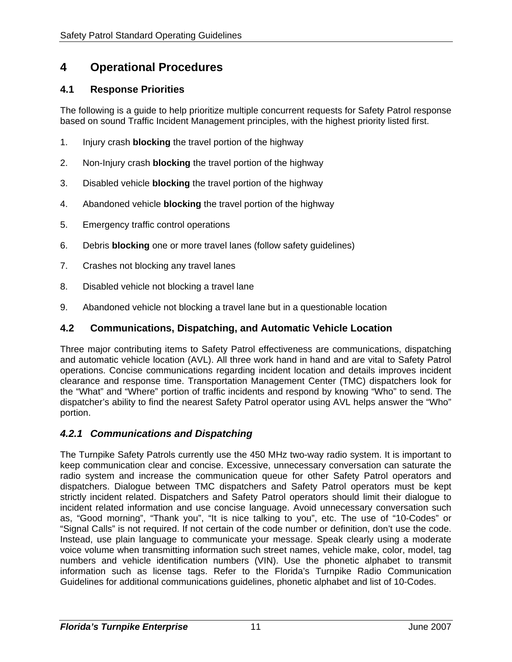## **4 Operational Procedures**

## **4.1 Response Priorities**

The following is a guide to help prioritize multiple concurrent requests for Safety Patrol response based on sound Traffic Incident Management principles, with the highest priority listed first.

- 1. Injury crash **blocking** the travel portion of the highway
- 2. Non-Injury crash **blocking** the travel portion of the highway
- 3. Disabled vehicle **blocking** the travel portion of the highway
- 4. Abandoned vehicle **blocking** the travel portion of the highway
- 5. Emergency traffic control operations
- 6. Debris **blocking** one or more travel lanes (follow safety guidelines)
- 7. Crashes not blocking any travel lanes
- 8. Disabled vehicle not blocking a travel lane
- 9. Abandoned vehicle not blocking a travel lane but in a questionable location

### **4.2 Communications, Dispatching, and Automatic Vehicle Location**

Three major contributing items to Safety Patrol effectiveness are communications, dispatching and automatic vehicle location (AVL). All three work hand in hand and are vital to Safety Patrol operations. Concise communications regarding incident location and details improves incident clearance and response time. Transportation Management Center (TMC) dispatchers look for the "What" and "Where" portion of traffic incidents and respond by knowing "Who" to send. The dispatcher's ability to find the nearest Safety Patrol operator using AVL helps answer the "Who" portion.

#### *4.2.1 Communications and Dispatching*

The Turnpike Safety Patrols currently use the 450 MHz two-way radio system. It is important to keep communication clear and concise. Excessive, unnecessary conversation can saturate the radio system and increase the communication queue for other Safety Patrol operators and dispatchers. Dialogue between TMC dispatchers and Safety Patrol operators must be kept strictly incident related. Dispatchers and Safety Patrol operators should limit their dialogue to incident related information and use concise language. Avoid unnecessary conversation such as, "Good morning", "Thank you", "It is nice talking to you", etc. The use of "10-Codes" or "Signal Calls" is not required. If not certain of the code number or definition, don't use the code. Instead, use plain language to communicate your message. Speak clearly using a moderate voice volume when transmitting information such street names, vehicle make, color, model, tag numbers and vehicle identification numbers (VIN). Use the phonetic alphabet to transmit information such as license tags. Refer to the Florida's Turnpike Radio Communication Guidelines for additional communications guidelines, phonetic alphabet and list of 10-Codes.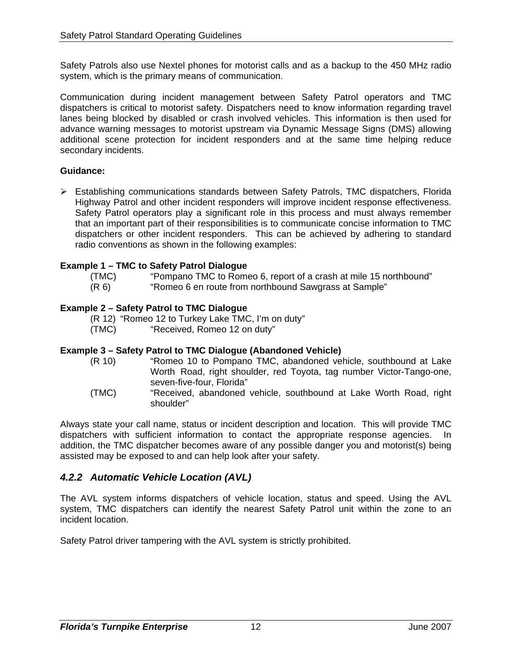Safety Patrols also use Nextel phones for motorist calls and as a backup to the 450 MHz radio system, which is the primary means of communication.

Communication during incident management between Safety Patrol operators and TMC dispatchers is critical to motorist safety. Dispatchers need to know information regarding travel lanes being blocked by disabled or crash involved vehicles. This information is then used for advance warning messages to motorist upstream via Dynamic Message Signs (DMS) allowing additional scene protection for incident responders and at the same time helping reduce secondary incidents.

#### **Guidance:**

¾ Establishing communications standards between Safety Patrols, TMC dispatchers, Florida Highway Patrol and other incident responders will improve incident response effectiveness. Safety Patrol operators play a significant role in this process and must always remember that an important part of their responsibilities is to communicate concise information to TMC dispatchers or other incident responders. This can be achieved by adhering to standard radio conventions as shown in the following examples:

#### **Example 1 – TMC to Safety Patrol Dialogue**

(TMC) "Pompano TMC to Romeo 6, report of a crash at mile 15 northbound" (R 6) "Romeo 6 en route from northbound Sawgrass at Sample"

#### **Example 2 – Safety Patrol to TMC Dialogue**

(R 12) "Romeo 12 to Turkey Lake TMC, I'm on duty"

(TMC) "Received, Romeo 12 on duty"

#### **Example 3 – Safety Patrol to TMC Dialogue (Abandoned Vehicle)**

- (R 10) "Romeo 10 to Pompano TMC, abandoned vehicle, southbound at Lake Worth Road, right shoulder, red Toyota, tag number Victor-Tango-one, seven-five-four, Florida"
- (TMC) "Received, abandoned vehicle, southbound at Lake Worth Road, right shoulder"

Always state your call name, status or incident description and location. This will provide TMC dispatchers with sufficient information to contact the appropriate response agencies. In addition, the TMC dispatcher becomes aware of any possible danger you and motorist(s) being assisted may be exposed to and can help look after your safety.

#### *4.2.2 Automatic Vehicle Location (AVL)*

The AVL system informs dispatchers of vehicle location, status and speed. Using the AVL system, TMC dispatchers can identify the nearest Safety Patrol unit within the zone to an incident location.

Safety Patrol driver tampering with the AVL system is strictly prohibited.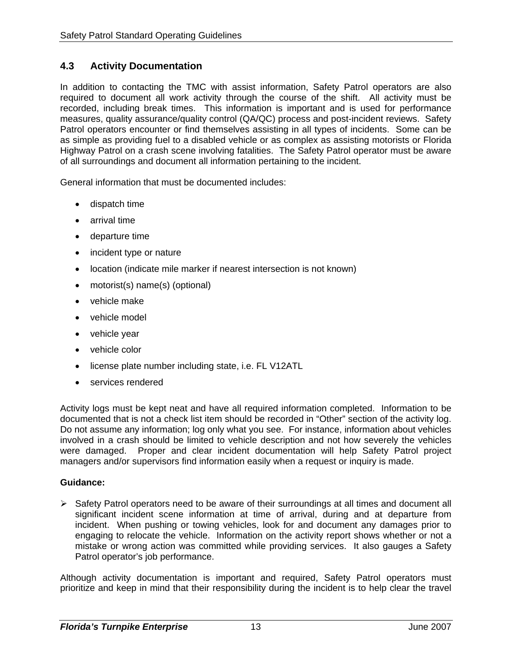## **4.3 Activity Documentation**

In addition to contacting the TMC with assist information, Safety Patrol operators are also required to document all work activity through the course of the shift. All activity must be recorded, including break times. This information is important and is used for performance measures, quality assurance/quality control (QA/QC) process and post-incident reviews. Safety Patrol operators encounter or find themselves assisting in all types of incidents. Some can be as simple as providing fuel to a disabled vehicle or as complex as assisting motorists or Florida Highway Patrol on a crash scene involving fatalities. The Safety Patrol operator must be aware of all surroundings and document all information pertaining to the incident.

General information that must be documented includes:

- dispatch time
- arrival time
- departure time
- incident type or nature
- location (indicate mile marker if nearest intersection is not known)
- motorist(s) name(s) (optional)
- vehicle make
- vehicle model
- vehicle year
- vehicle color
- license plate number including state, i.e. FL V12ATL
- services rendered

Activity logs must be kept neat and have all required information completed. Information to be documented that is not a check list item should be recorded in "Other" section of the activity log. Do not assume any information; log only what you see. For instance, information about vehicles involved in a crash should be limited to vehicle description and not how severely the vehicles were damaged. Proper and clear incident documentation will help Safety Patrol project managers and/or supervisors find information easily when a request or inquiry is made.

#### **Guidance:**

 $\triangleright$  Safety Patrol operators need to be aware of their surroundings at all times and document all significant incident scene information at time of arrival, during and at departure from incident. When pushing or towing vehicles, look for and document any damages prior to engaging to relocate the vehicle. Information on the activity report shows whether or not a mistake or wrong action was committed while providing services. It also gauges a Safety Patrol operator's job performance.

Although activity documentation is important and required, Safety Patrol operators must prioritize and keep in mind that their responsibility during the incident is to help clear the travel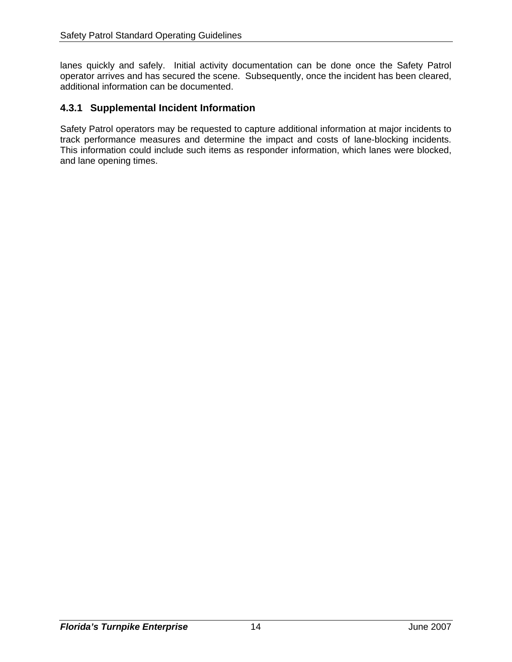lanes quickly and safely. Initial activity documentation can be done once the Safety Patrol operator arrives and has secured the scene. Subsequently, once the incident has been cleared, additional information can be documented.

## **4.3.1 Supplemental Incident Information**

Safety Patrol operators may be requested to capture additional information at major incidents to track performance measures and determine the impact and costs of lane-blocking incidents. This information could include such items as responder information, which lanes were blocked, and lane opening times.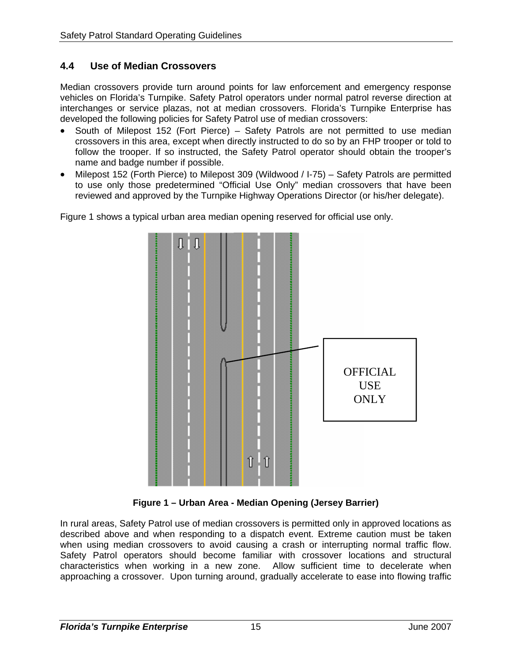## **4.4 Use of Median Crossovers**

Median crossovers provide turn around points for law enforcement and emergency response vehicles on Florida's Turnpike. Safety Patrol operators under normal patrol reverse direction at interchanges or service plazas, not at median crossovers. Florida's Turnpike Enterprise has developed the following policies for Safety Patrol use of median crossovers:

- South of Milepost 152 (Fort Pierce) Safety Patrols are not permitted to use median crossovers in this area, except when directly instructed to do so by an FHP trooper or told to follow the trooper. If so instructed, the Safety Patrol operator should obtain the trooper's name and badge number if possible.
- Milepost 152 (Forth Pierce) to Milepost 309 (Wildwood / I-75) Safety Patrols are permitted to use only those predetermined "Official Use Only" median crossovers that have been reviewed and approved by the Turnpike Highway Operations Director (or his/her delegate).

Figure 1 shows a typical urban area median opening reserved for official use only.



**Figure 1 – Urban Area - Median Opening (Jersey Barrier)** 

In rural areas, Safety Patrol use of median crossovers is permitted only in approved locations as described above and when responding to a dispatch event. Extreme caution must be taken when using median crossovers to avoid causing a crash or interrupting normal traffic flow. Safety Patrol operators should become familiar with crossover locations and structural characteristics when working in a new zone. Allow sufficient time to decelerate when approaching a crossover. Upon turning around, gradually accelerate to ease into flowing traffic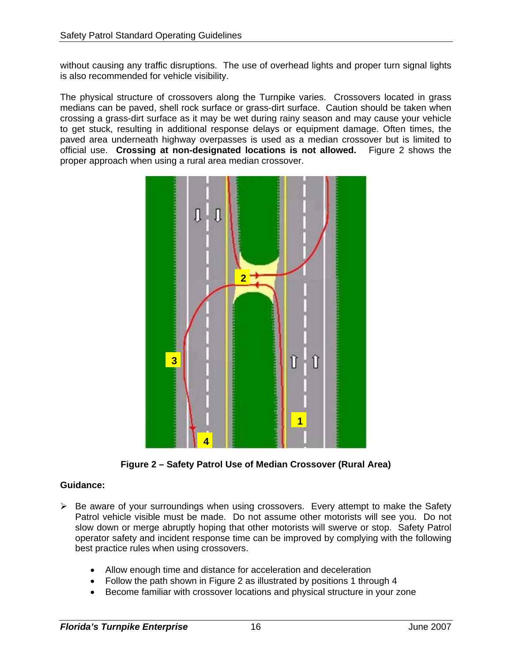without causing any traffic disruptions. The use of overhead lights and proper turn signal lights is also recommended for vehicle visibility.

The physical structure of crossovers along the Turnpike varies. Crossovers located in grass medians can be paved, shell rock surface or grass-dirt surface. Caution should be taken when crossing a grass-dirt surface as it may be wet during rainy season and may cause your vehicle to get stuck, resulting in additional response delays or equipment damage. Often times, the paved area underneath highway overpasses is used as a median crossover but is limited to official use. **Crossing at non-designated locations is not allowed.** Figure 2 shows the proper approach when using a rural area median crossover.



**Figure 2 – Safety Patrol Use of Median Crossover (Rural Area)** 

- $\triangleright$  Be aware of your surroundings when using crossovers. Every attempt to make the Safety Patrol vehicle visible must be made. Do not assume other motorists will see you. Do not slow down or merge abruptly hoping that other motorists will swerve or stop. Safety Patrol operator safety and incident response time can be improved by complying with the following best practice rules when using crossovers.
	- Allow enough time and distance for acceleration and deceleration
	- Follow the path shown in Figure 2 as illustrated by positions 1 through 4
	- Become familiar with crossover locations and physical structure in your zone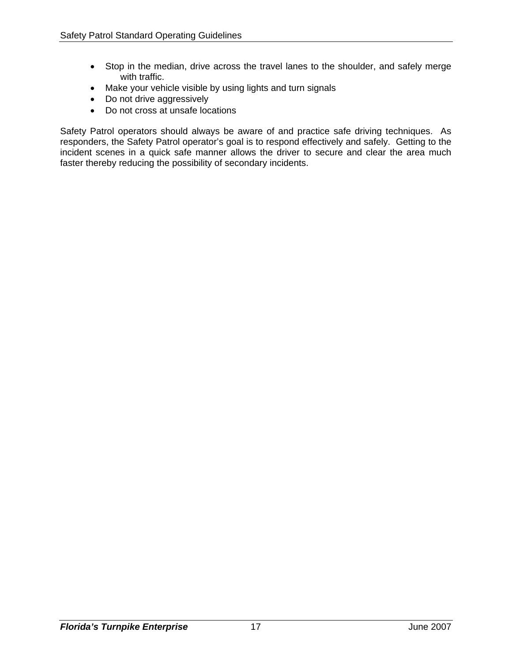- Stop in the median, drive across the travel lanes to the shoulder, and safely merge with traffic.
- Make your vehicle visible by using lights and turn signals
- Do not drive aggressively
- Do not cross at unsafe locations

Safety Patrol operators should always be aware of and practice safe driving techniques. As responders, the Safety Patrol operator's goal is to respond effectively and safely. Getting to the incident scenes in a quick safe manner allows the driver to secure and clear the area much faster thereby reducing the possibility of secondary incidents.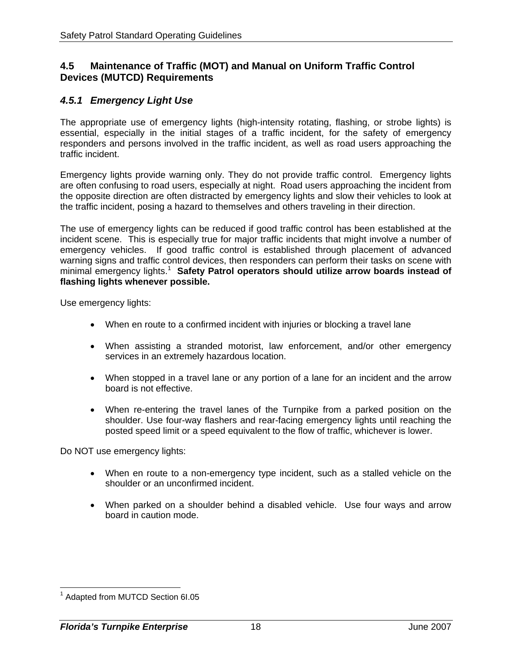#### **4.5 Maintenance of Traffic (MOT) and Manual on Uniform Traffic Control Devices (MUTCD) Requirements**

## *4.5.1 Emergency Light Use*

The appropriate use of emergency lights (high-intensity rotating, flashing, or strobe lights) is essential, especially in the initial stages of a traffic incident, for the safety of emergency responders and persons involved in the traffic incident, as well as road users approaching the traffic incident.

Emergency lights provide warning only. They do not provide traffic control. Emergency lights are often confusing to road users, especially at night. Road users approaching the incident from the opposite direction are often distracted by emergency lights and slow their vehicles to look at the traffic incident, posing a hazard to themselves and others traveling in their direction.

The use of emergency lights can be reduced if good traffic control has been established at the incident scene. This is especially true for major traffic incidents that might involve a number of emergency vehicles. If good traffic control is established through placement of advanced warning signs and traffic control devices, then responders can perform their tasks on scene with minimal emergency lights.<sup>1</sup> Safety Patrol operators should utilize arrow boards instead of **flashing lights whenever possible.** 

Use emergency lights:

- When en route to a confirmed incident with injuries or blocking a travel lane
- When assisting a stranded motorist, law enforcement, and/or other emergency services in an extremely hazardous location.
- When stopped in a travel lane or any portion of a lane for an incident and the arrow board is not effective.
- When re-entering the travel lanes of the Turnpike from a parked position on the shoulder. Use four-way flashers and rear-facing emergency lights until reaching the posted speed limit or a speed equivalent to the flow of traffic, whichever is lower.

Do NOT use emergency lights:

- When en route to a non-emergency type incident, such as a stalled vehicle on the shoulder or an unconfirmed incident.
- When parked on a shoulder behind a disabled vehicle. Use four ways and arrow board in caution mode.

 $\overline{a}$ 

<sup>&</sup>lt;sup>1</sup> Adapted from MUTCD Section 6I.05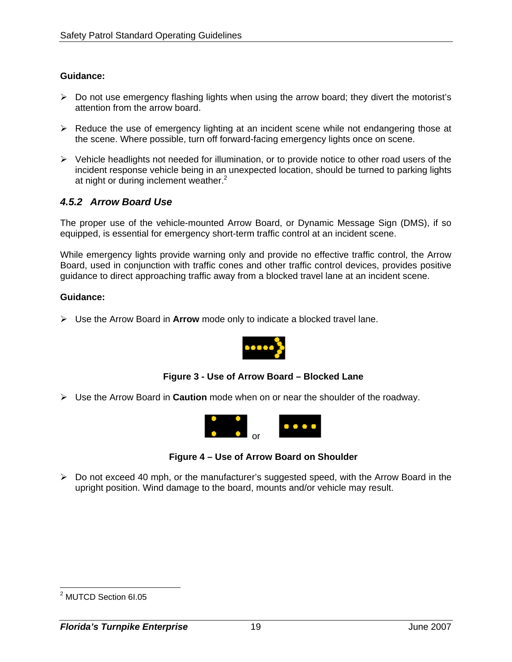#### **Guidance:**

- $\triangleright$  Do not use emergency flashing lights when using the arrow board; they divert the motorist's attention from the arrow board.
- ¾ Reduce the use of emergency lighting at an incident scene while not endangering those at the scene. Where possible, turn off forward-facing emergency lights once on scene.
- $\triangleright$  Vehicle headlights not needed for illumination, or to provide notice to other road users of the incident response vehicle being in an unexpected location, should be turned to parking lights at night or during inclement weather. $2$

## *4.5.2 Arrow Board Use*

The proper use of the vehicle-mounted Arrow Board, or Dynamic Message Sign (DMS), if so equipped, is essential for emergency short-term traffic control at an incident scene.

While emergency lights provide warning only and provide no effective traffic control, the Arrow Board, used in conjunction with traffic cones and other traffic control devices, provides positive guidance to direct approaching traffic away from a blocked travel lane at an incident scene.

#### **Guidance:**

¾ Use the Arrow Board in **Arrow** mode only to indicate a blocked travel lane.



#### **Figure 3 - Use of Arrow Board – Blocked Lane**

¾ Use the Arrow Board in **Caution** mode when on or near the shoulder of the roadway.



**Figure 4 – Use of Arrow Board on Shoulder** 

¾ Do not exceed 40 mph, or the manufacturer's suggested speed, with the Arrow Board in the upright position. Wind damage to the board, mounts and/or vehicle may result.

 2 MUTCD Section 6I.05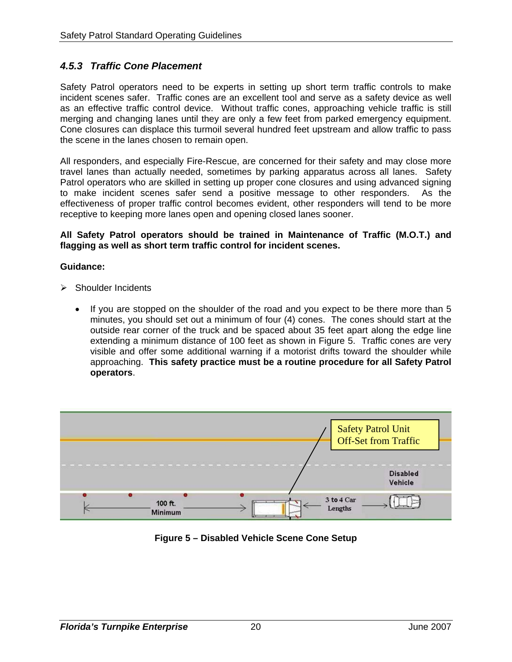## *4.5.3 Traffic Cone Placement*

Safety Patrol operators need to be experts in setting up short term traffic controls to make incident scenes safer. Traffic cones are an excellent tool and serve as a safety device as well as an effective traffic control device. Without traffic cones, approaching vehicle traffic is still merging and changing lanes until they are only a few feet from parked emergency equipment. Cone closures can displace this turmoil several hundred feet upstream and allow traffic to pass the scene in the lanes chosen to remain open.

All responders, and especially Fire-Rescue, are concerned for their safety and may close more travel lanes than actually needed, sometimes by parking apparatus across all lanes. Safety Patrol operators who are skilled in setting up proper cone closures and using advanced signing to make incident scenes safer send a positive message to other responders. As the effectiveness of proper traffic control becomes evident, other responders will tend to be more receptive to keeping more lanes open and opening closed lanes sooner.

#### **All Safety Patrol operators should be trained in Maintenance of Traffic (M.O.T.) and flagging as well as short term traffic control for incident scenes.**

- $\triangleright$  Shoulder Incidents
	- If you are stopped on the shoulder of the road and you expect to be there more than 5 minutes, you should set out a minimum of four (4) cones. The cones should start at the outside rear corner of the truck and be spaced about 35 feet apart along the edge line extending a minimum distance of 100 feet as shown in Figure 5. Traffic cones are very visible and offer some additional warning if a motorist drifts toward the shoulder while approaching. **This safety practice must be a routine procedure for all Safety Patrol operators**.



**Figure 5 – Disabled Vehicle Scene Cone Setup**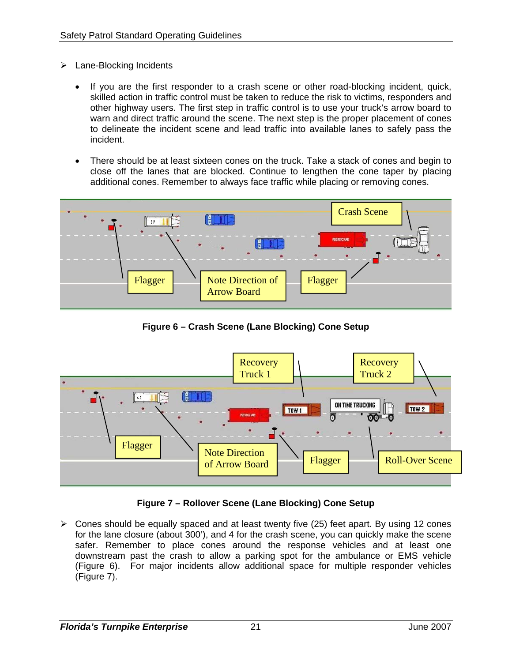- $\triangleright$  Lane-Blocking Incidents
	- If you are the first responder to a crash scene or other road-blocking incident, quick, skilled action in traffic control must be taken to reduce the risk to victims, responders and other highway users. The first step in traffic control is to use your truck's arrow board to warn and direct traffic around the scene. The next step is the proper placement of cones to delineate the incident scene and lead traffic into available lanes to safely pass the incident.
	- There should be at least sixteen cones on the truck. Take a stack of cones and begin to close off the lanes that are blocked. Continue to lengthen the cone taper by placing additional cones. Remember to always face traffic while placing or removing cones.



**Figure 6 – Crash Scene (Lane Blocking) Cone Setup** 



## **Figure 7 – Rollover Scene (Lane Blocking) Cone Setup**

 $\triangleright$  Cones should be equally spaced and at least twenty five (25) feet apart. By using 12 cones for the lane closure (about 300'), and 4 for the crash scene, you can quickly make the scene safer. Remember to place cones around the response vehicles and at least one downstream past the crash to allow a parking spot for the ambulance or EMS vehicle (Figure 6). For major incidents allow additional space for multiple responder vehicles (Figure 7).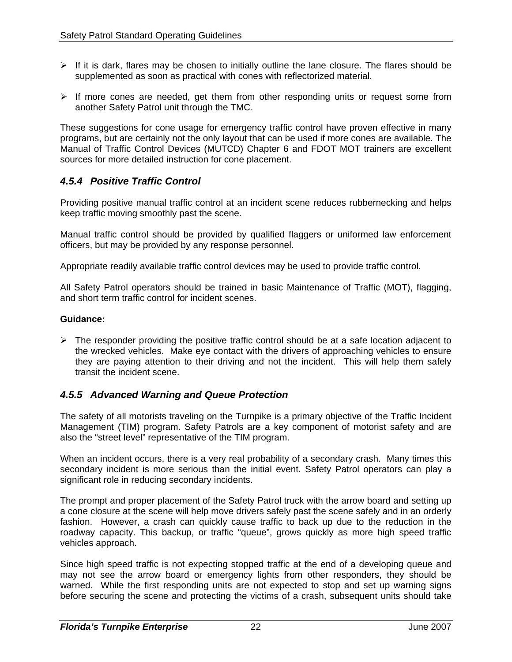- $\triangleright$  If it is dark, flares may be chosen to initially outline the lane closure. The flares should be supplemented as soon as practical with cones with reflectorized material.
- $\triangleright$  If more cones are needed, get them from other responding units or request some from another Safety Patrol unit through the TMC.

These suggestions for cone usage for emergency traffic control have proven effective in many programs, but are certainly not the only layout that can be used if more cones are available. The Manual of Traffic Control Devices (MUTCD) Chapter 6 and FDOT MOT trainers are excellent sources for more detailed instruction for cone placement.

## *4.5.4 Positive Traffic Control*

Providing positive manual traffic control at an incident scene reduces rubbernecking and helps keep traffic moving smoothly past the scene.

Manual traffic control should be provided by qualified flaggers or uniformed law enforcement officers, but may be provided by any response personnel.

Appropriate readily available traffic control devices may be used to provide traffic control.

All Safety Patrol operators should be trained in basic Maintenance of Traffic (MOT), flagging, and short term traffic control for incident scenes.

#### **Guidance:**

 $\triangleright$  The responder providing the positive traffic control should be at a safe location adjacent to the wrecked vehicles. Make eye contact with the drivers of approaching vehicles to ensure they are paying attention to their driving and not the incident. This will help them safely transit the incident scene.

## *4.5.5 Advanced Warning and Queue Protection*

The safety of all motorists traveling on the Turnpike is a primary objective of the Traffic Incident Management (TIM) program. Safety Patrols are a key component of motorist safety and are also the "street level" representative of the TIM program.

When an incident occurs, there is a very real probability of a secondary crash. Many times this secondary incident is more serious than the initial event. Safety Patrol operators can play a significant role in reducing secondary incidents.

The prompt and proper placement of the Safety Patrol truck with the arrow board and setting up a cone closure at the scene will help move drivers safely past the scene safely and in an orderly fashion. However, a crash can quickly cause traffic to back up due to the reduction in the roadway capacity. This backup, or traffic "queue", grows quickly as more high speed traffic vehicles approach.

Since high speed traffic is not expecting stopped traffic at the end of a developing queue and may not see the arrow board or emergency lights from other responders, they should be warned. While the first responding units are not expected to stop and set up warning signs before securing the scene and protecting the victims of a crash, subsequent units should take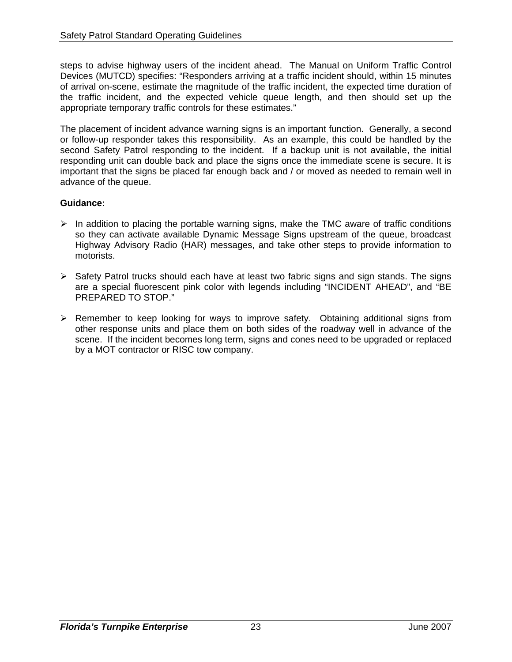steps to advise highway users of the incident ahead. The Manual on Uniform Traffic Control Devices (MUTCD) specifies: "Responders arriving at a traffic incident should, within 15 minutes of arrival on-scene, estimate the magnitude of the traffic incident, the expected time duration of the traffic incident, and the expected vehicle queue length, and then should set up the appropriate temporary traffic controls for these estimates."

The placement of incident advance warning signs is an important function. Generally, a second or follow-up responder takes this responsibility. As an example, this could be handled by the second Safety Patrol responding to the incident. If a backup unit is not available, the initial responding unit can double back and place the signs once the immediate scene is secure. It is important that the signs be placed far enough back and / or moved as needed to remain well in advance of the queue.

- $\triangleright$  In addition to placing the portable warning signs, make the TMC aware of traffic conditions so they can activate available Dynamic Message Signs upstream of the queue, broadcast Highway Advisory Radio (HAR) messages, and take other steps to provide information to motorists.
- $\triangleright$  Safety Patrol trucks should each have at least two fabric signs and sign stands. The signs are a special fluorescent pink color with legends including "INCIDENT AHEAD", and "BE PREPARED TO STOP."
- $\triangleright$  Remember to keep looking for ways to improve safety. Obtaining additional signs from other response units and place them on both sides of the roadway well in advance of the scene. If the incident becomes long term, signs and cones need to be upgraded or replaced by a MOT contractor or RISC tow company.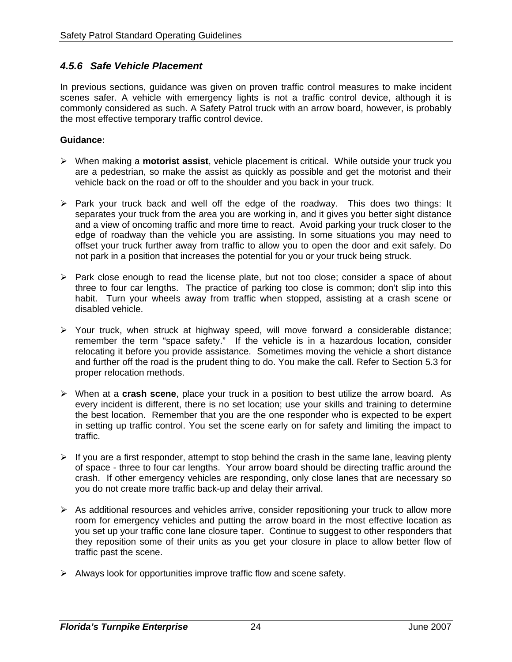#### *4.5.6 Safe Vehicle Placement*

In previous sections, guidance was given on proven traffic control measures to make incident scenes safer. A vehicle with emergency lights is not a traffic control device, although it is commonly considered as such. A Safety Patrol truck with an arrow board, however, is probably the most effective temporary traffic control device.

- ¾ When making a **motorist assist**, vehicle placement is critical. While outside your truck you are a pedestrian, so make the assist as quickly as possible and get the motorist and their vehicle back on the road or off to the shoulder and you back in your truck.
- ¾ Park your truck back and well off the edge of the roadway. This does two things: It separates your truck from the area you are working in, and it gives you better sight distance and a view of oncoming traffic and more time to react. Avoid parking your truck closer to the edge of roadway than the vehicle you are assisting. In some situations you may need to offset your truck further away from traffic to allow you to open the door and exit safely. Do not park in a position that increases the potential for you or your truck being struck.
- ¾ Park close enough to read the license plate, but not too close; consider a space of about three to four car lengths. The practice of parking too close is common; don't slip into this habit. Turn your wheels away from traffic when stopped, assisting at a crash scene or disabled vehicle.
- ¾ Your truck, when struck at highway speed, will move forward a considerable distance; remember the term "space safety." If the vehicle is in a hazardous location, consider relocating it before you provide assistance. Sometimes moving the vehicle a short distance and further off the road is the prudent thing to do. You make the call. Refer to Section 5.3 for proper relocation methods.
- ¾ When at a **crash scene**, place your truck in a position to best utilize the arrow board. As every incident is different, there is no set location; use your skills and training to determine the best location. Remember that you are the one responder who is expected to be expert in setting up traffic control. You set the scene early on for safety and limiting the impact to traffic.
- $\triangleright$  If you are a first responder, attempt to stop behind the crash in the same lane, leaving plenty of space - three to four car lengths. Your arrow board should be directing traffic around the crash. If other emergency vehicles are responding, only close lanes that are necessary so you do not create more traffic back-up and delay their arrival.
- $\triangleright$  As additional resources and vehicles arrive, consider repositioning your truck to allow more room for emergency vehicles and putting the arrow board in the most effective location as you set up your traffic cone lane closure taper. Continue to suggest to other responders that they reposition some of their units as you get your closure in place to allow better flow of traffic past the scene.
- $\triangleright$  Always look for opportunities improve traffic flow and scene safety.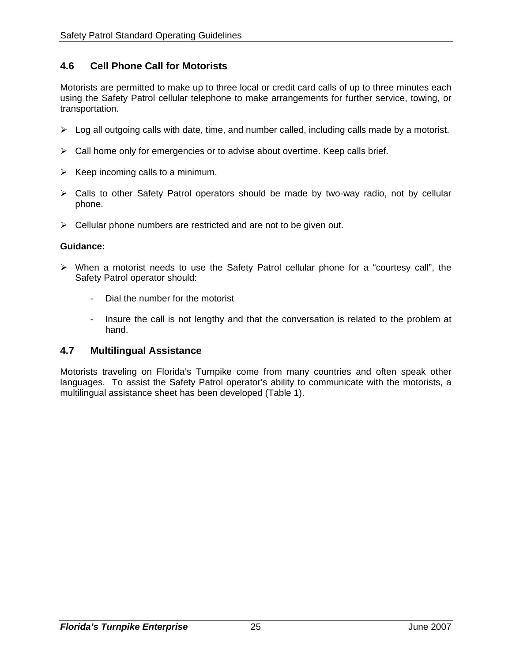## **4.6 Cell Phone Call for Motorists**

Motorists are permitted to make up to three local or credit card calls of up to three minutes each using the Safety Patrol cellular telephone to make arrangements for further service, towing, or transportation.

- $\triangleright$  Log all outgoing calls with date, time, and number called, including calls made by a motorist.
- $\triangleright$  Call home only for emergencies or to advise about overtime. Keep calls brief.
- $\triangleright$  Keep incoming calls to a minimum.
- ¾ Calls to other Safety Patrol operators should be made by two-way radio, not by cellular phone.
- $\triangleright$  Cellular phone numbers are restricted and are not to be given out.

#### **Guidance:**

- $\triangleright$  When a motorist needs to use the Safety Patrol cellular phone for a "courtesy call", the Safety Patrol operator should:
	- Dial the number for the motorist
	- Insure the call is not lengthy and that the conversation is related to the problem at hand.

#### **4.7 Multilingual Assistance**

Motorists traveling on Florida's Turnpike come from many countries and often speak other languages. To assist the Safety Patrol operator's ability to communicate with the motorists, a multilingual assistance sheet has been developed (Table 1).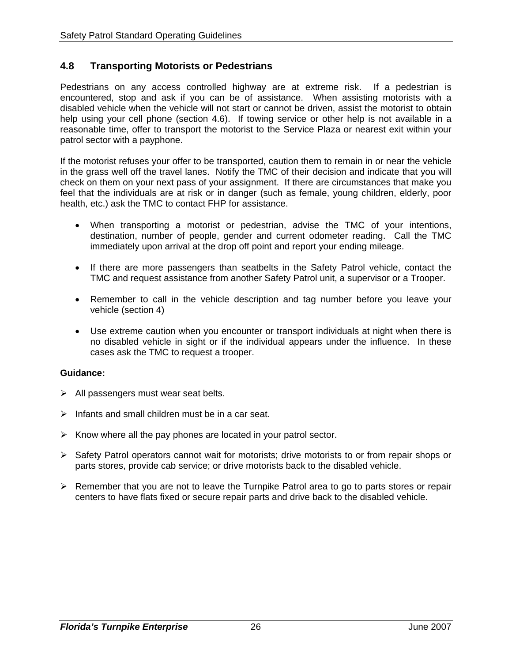## **4.8 Transporting Motorists or Pedestrians**

Pedestrians on any access controlled highway are at extreme risk. If a pedestrian is encountered, stop and ask if you can be of assistance. When assisting motorists with a disabled vehicle when the vehicle will not start or cannot be driven, assist the motorist to obtain help using your cell phone (section 4.6). If towing service or other help is not available in a reasonable time, offer to transport the motorist to the Service Plaza or nearest exit within your patrol sector with a payphone.

If the motorist refuses your offer to be transported, caution them to remain in or near the vehicle in the grass well off the travel lanes. Notify the TMC of their decision and indicate that you will check on them on your next pass of your assignment. If there are circumstances that make you feel that the individuals are at risk or in danger (such as female, young children, elderly, poor health, etc.) ask the TMC to contact FHP for assistance.

- When transporting a motorist or pedestrian, advise the TMC of your intentions, destination, number of people, gender and current odometer reading. Call the TMC immediately upon arrival at the drop off point and report your ending mileage.
- If there are more passengers than seatbelts in the Safety Patrol vehicle, contact the TMC and request assistance from another Safety Patrol unit, a supervisor or a Trooper.
- Remember to call in the vehicle description and tag number before you leave your vehicle (section 4)
- Use extreme caution when you encounter or transport individuals at night when there is no disabled vehicle in sight or if the individual appears under the influence. In these cases ask the TMC to request a trooper.

- $\triangleright$  All passengers must wear seat belts.
- $\triangleright$  Infants and small children must be in a car seat.
- $\triangleright$  Know where all the pay phones are located in your patrol sector.
- ¾ Safety Patrol operators cannot wait for motorists; drive motorists to or from repair shops or parts stores, provide cab service; or drive motorists back to the disabled vehicle.
- $\triangleright$  Remember that you are not to leave the Turnpike Patrol area to go to parts stores or repair centers to have flats fixed or secure repair parts and drive back to the disabled vehicle.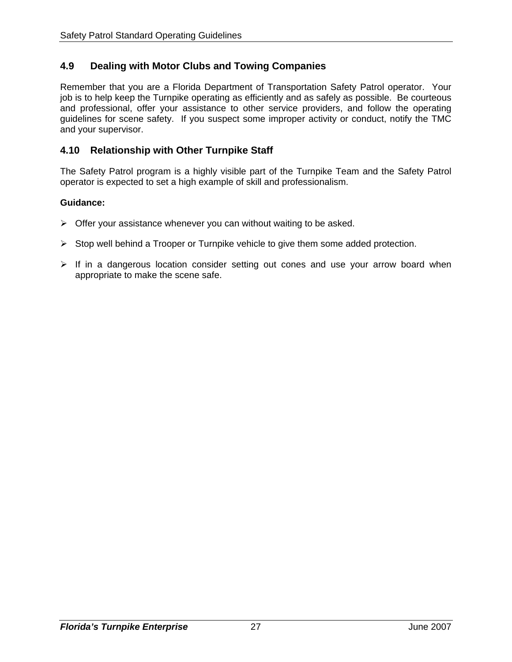## **4.9 Dealing with Motor Clubs and Towing Companies**

Remember that you are a Florida Department of Transportation Safety Patrol operator. Your job is to help keep the Turnpike operating as efficiently and as safely as possible. Be courteous and professional, offer your assistance to other service providers, and follow the operating guidelines for scene safety. If you suspect some improper activity or conduct, notify the TMC and your supervisor.

### **4.10 Relationship with Other Turnpike Staff**

The Safety Patrol program is a highly visible part of the Turnpike Team and the Safety Patrol operator is expected to set a high example of skill and professionalism.

- $\triangleright$  Offer your assistance whenever you can without waiting to be asked.
- $\triangleright$  Stop well behind a Trooper or Turnpike vehicle to give them some added protection.
- $\triangleright$  If in a dangerous location consider setting out cones and use your arrow board when appropriate to make the scene safe.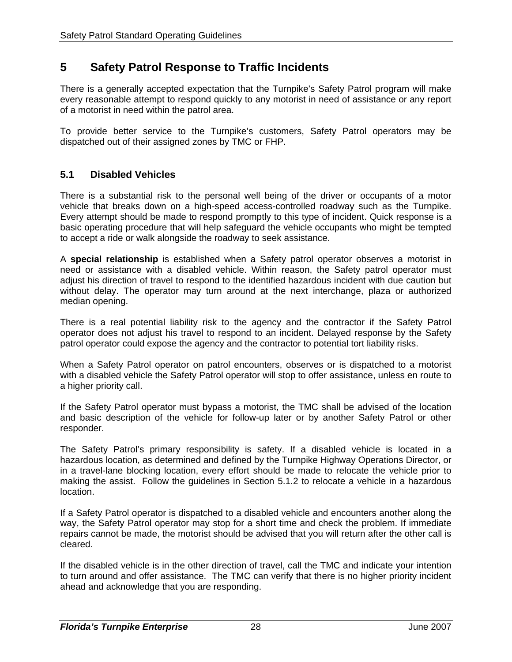# **5 Safety Patrol Response to Traffic Incidents**

There is a generally accepted expectation that the Turnpike's Safety Patrol program will make every reasonable attempt to respond quickly to any motorist in need of assistance or any report of a motorist in need within the patrol area.

To provide better service to the Turnpike's customers, Safety Patrol operators may be dispatched out of their assigned zones by TMC or FHP.

## **5.1 Disabled Vehicles**

There is a substantial risk to the personal well being of the driver or occupants of a motor vehicle that breaks down on a high-speed access-controlled roadway such as the Turnpike. Every attempt should be made to respond promptly to this type of incident. Quick response is a basic operating procedure that will help safeguard the vehicle occupants who might be tempted to accept a ride or walk alongside the roadway to seek assistance.

A **special relationship** is established when a Safety patrol operator observes a motorist in need or assistance with a disabled vehicle. Within reason, the Safety patrol operator must adjust his direction of travel to respond to the identified hazardous incident with due caution but without delay. The operator may turn around at the next interchange, plaza or authorized median opening.

There is a real potential liability risk to the agency and the contractor if the Safety Patrol operator does not adjust his travel to respond to an incident. Delayed response by the Safety patrol operator could expose the agency and the contractor to potential tort liability risks.

When a Safety Patrol operator on patrol encounters, observes or is dispatched to a motorist with a disabled vehicle the Safety Patrol operator will stop to offer assistance, unless en route to a higher priority call.

If the Safety Patrol operator must bypass a motorist, the TMC shall be advised of the location and basic description of the vehicle for follow-up later or by another Safety Patrol or other responder.

The Safety Patrol's primary responsibility is safety. If a disabled vehicle is located in a hazardous location, as determined and defined by the Turnpike Highway Operations Director, or in a travel-lane blocking location, every effort should be made to relocate the vehicle prior to making the assist. Follow the guidelines in Section 5.1.2 to relocate a vehicle in a hazardous location.

If a Safety Patrol operator is dispatched to a disabled vehicle and encounters another along the way, the Safety Patrol operator may stop for a short time and check the problem. If immediate repairs cannot be made, the motorist should be advised that you will return after the other call is cleared.

If the disabled vehicle is in the other direction of travel, call the TMC and indicate your intention to turn around and offer assistance. The TMC can verify that there is no higher priority incident ahead and acknowledge that you are responding.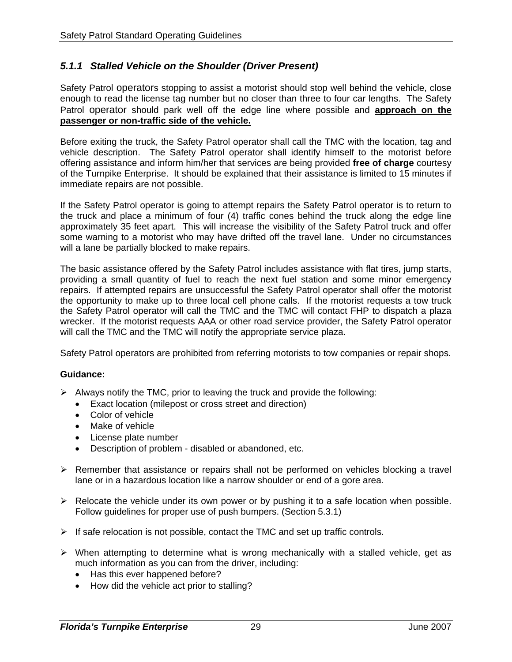## *5.1.1 Stalled Vehicle on the Shoulder (Driver Present)*

Safety Patrol operators stopping to assist a motorist should stop well behind the vehicle, close enough to read the license tag number but no closer than three to four car lengths. The Safety Patrol operator should park well off the edge line where possible and **approach on the passenger or non-traffic side of the vehicle.**

Before exiting the truck, the Safety Patrol operator shall call the TMC with the location, tag and vehicle description. The Safety Patrol operator shall identify himself to the motorist before offering assistance and inform him/her that services are being provided **free of charge** courtesy of the Turnpike Enterprise. It should be explained that their assistance is limited to 15 minutes if immediate repairs are not possible.

If the Safety Patrol operator is going to attempt repairs the Safety Patrol operator is to return to the truck and place a minimum of four (4) traffic cones behind the truck along the edge line approximately 35 feet apart. This will increase the visibility of the Safety Patrol truck and offer some warning to a motorist who may have drifted off the travel lane. Under no circumstances will a lane be partially blocked to make repairs.

The basic assistance offered by the Safety Patrol includes assistance with flat tires, jump starts, providing a small quantity of fuel to reach the next fuel station and some minor emergency repairs. If attempted repairs are unsuccessful the Safety Patrol operator shall offer the motorist the opportunity to make up to three local cell phone calls. If the motorist requests a tow truck the Safety Patrol operator will call the TMC and the TMC will contact FHP to dispatch a plaza wrecker. If the motorist requests AAA or other road service provider, the Safety Patrol operator will call the TMC and the TMC will notify the appropriate service plaza.

Safety Patrol operators are prohibited from referring motorists to tow companies or repair shops.

- $\triangleright$  Always notify the TMC, prior to leaving the truck and provide the following:
	- Exact location (milepost or cross street and direction)
	- Color of vehicle
	- Make of vehicle
	- License plate number
	- Description of problem disabled or abandoned, etc.
- $\triangleright$  Remember that assistance or repairs shall not be performed on vehicles blocking a travel lane or in a hazardous location like a narrow shoulder or end of a gore area.
- $\triangleright$  Relocate the vehicle under its own power or by pushing it to a safe location when possible. Follow guidelines for proper use of push bumpers. (Section 5.3.1)
- $\triangleright$  If safe relocation is not possible, contact the TMC and set up traffic controls.
- $\triangleright$  When attempting to determine what is wrong mechanically with a stalled vehicle, get as much information as you can from the driver, including:
	- Has this ever happened before?
	- How did the vehicle act prior to stalling?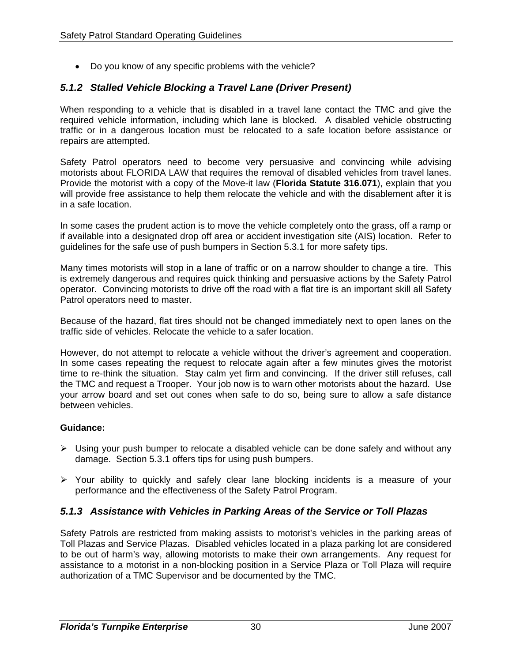• Do you know of any specific problems with the vehicle?

## *5.1.2 Stalled Vehicle Blocking a Travel Lane (Driver Present)*

When responding to a vehicle that is disabled in a travel lane contact the TMC and give the required vehicle information, including which lane is blocked. A disabled vehicle obstructing traffic or in a dangerous location must be relocated to a safe location before assistance or repairs are attempted.

Safety Patrol operators need to become very persuasive and convincing while advising motorists about FLORIDA LAW that requires the removal of disabled vehicles from travel lanes. Provide the motorist with a copy of the Move-it law (**Florida Statute 316.071**), explain that you will provide free assistance to help them relocate the vehicle and with the disablement after it is in a safe location.

In some cases the prudent action is to move the vehicle completely onto the grass, off a ramp or if available into a designated drop off area or accident investigation site (AIS) location. Refer to guidelines for the safe use of push bumpers in Section 5.3.1 for more safety tips.

Many times motorists will stop in a lane of traffic or on a narrow shoulder to change a tire. This is extremely dangerous and requires quick thinking and persuasive actions by the Safety Patrol operator. Convincing motorists to drive off the road with a flat tire is an important skill all Safety Patrol operators need to master.

Because of the hazard, flat tires should not be changed immediately next to open lanes on the traffic side of vehicles. Relocate the vehicle to a safer location.

However, do not attempt to relocate a vehicle without the driver's agreement and cooperation. In some cases repeating the request to relocate again after a few minutes gives the motorist time to re-think the situation. Stay calm yet firm and convincing. If the driver still refuses, call the TMC and request a Trooper. Your job now is to warn other motorists about the hazard. Use your arrow board and set out cones when safe to do so, being sure to allow a safe distance between vehicles.

#### **Guidance:**

- ¾ Using your push bumper to relocate a disabled vehicle can be done safely and without any damage. Section 5.3.1 offers tips for using push bumpers.
- ¾ Your ability to quickly and safely clear lane blocking incidents is a measure of your performance and the effectiveness of the Safety Patrol Program.

#### *5.1.3 Assistance with Vehicles in Parking Areas of the Service or Toll Plazas*

Safety Patrols are restricted from making assists to motorist's vehicles in the parking areas of Toll Plazas and Service Plazas. Disabled vehicles located in a plaza parking lot are considered to be out of harm's way, allowing motorists to make their own arrangements. Any request for assistance to a motorist in a non-blocking position in a Service Plaza or Toll Plaza will require authorization of a TMC Supervisor and be documented by the TMC.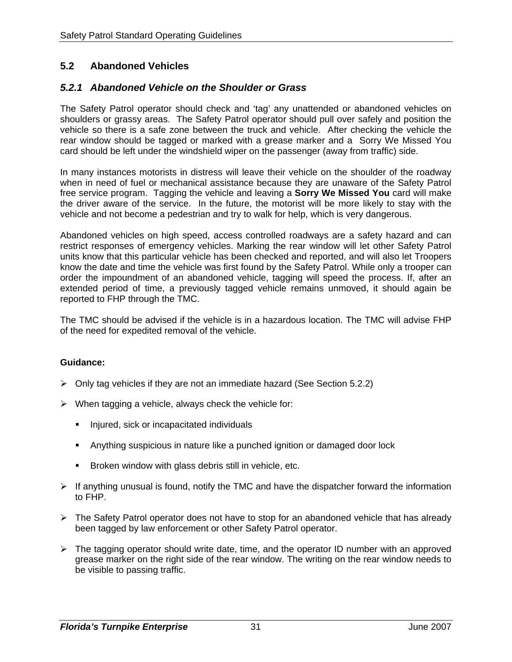## **5.2 Abandoned Vehicles**

## *5.2.1 Abandoned Vehicle on the Shoulder or Grass*

The Safety Patrol operator should check and 'tag' any unattended or abandoned vehicles on shoulders or grassy areas. The Safety Patrol operator should pull over safely and position the vehicle so there is a safe zone between the truck and vehicle. After checking the vehicle the rear window should be tagged or marked with a grease marker and a Sorry We Missed You card should be left under the windshield wiper on the passenger (away from traffic) side.

In many instances motorists in distress will leave their vehicle on the shoulder of the roadway when in need of fuel or mechanical assistance because they are unaware of the Safety Patrol free service program. Tagging the vehicle and leaving a **Sorry We Missed You** card will make the driver aware of the service. In the future, the motorist will be more likely to stay with the vehicle and not become a pedestrian and try to walk for help, which is very dangerous.

Abandoned vehicles on high speed, access controlled roadways are a safety hazard and can restrict responses of emergency vehicles. Marking the rear window will let other Safety Patrol units know that this particular vehicle has been checked and reported, and will also let Troopers know the date and time the vehicle was first found by the Safety Patrol. While only a trooper can order the impoundment of an abandoned vehicle, tagging will speed the process. If, after an extended period of time, a previously tagged vehicle remains unmoved, it should again be reported to FHP through the TMC.

The TMC should be advised if the vehicle is in a hazardous location. The TMC will advise FHP of the need for expedited removal of the vehicle.

- $\triangleright$  Only tag vehicles if they are not an immediate hazard (See Section 5.2.2)
- $\triangleright$  When tagging a vehicle, always check the vehicle for:
	- **Injured, sick or incapacitated individuals**
	- Anything suspicious in nature like a punched ignition or damaged door lock
	- **Broken window with glass debris still in vehicle, etc.**
- $\triangleright$  If anything unusual is found, notify the TMC and have the dispatcher forward the information to FHP.
- $\triangleright$  The Safety Patrol operator does not have to stop for an abandoned vehicle that has already been tagged by law enforcement or other Safety Patrol operator.
- ¾ The tagging operator should write date, time, and the operator ID number with an approved grease marker on the right side of the rear window. The writing on the rear window needs to be visible to passing traffic.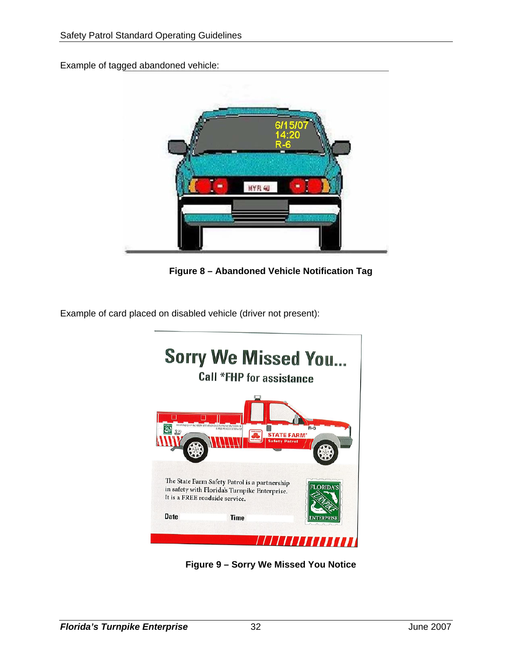Example of tagged abandoned vehicle:



**Figure 8 – Abandoned Vehicle Notification Tag** 

Example of card placed on disabled vehicle (driver not present):



**Figure 9 – Sorry We Missed You Notice**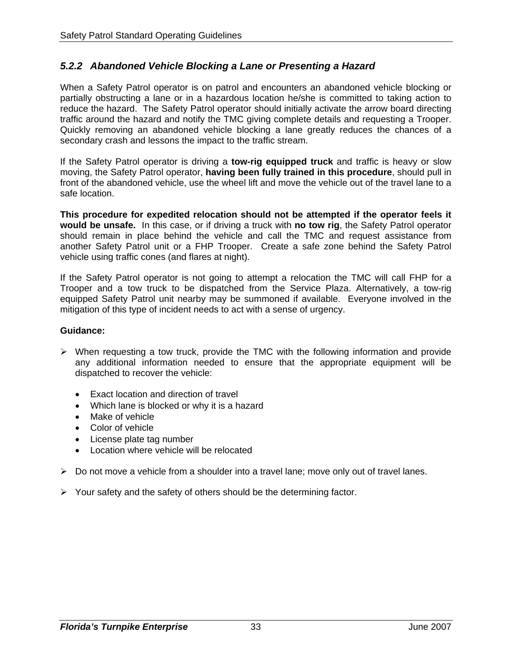## *5.2.2 Abandoned Vehicle Blocking a Lane or Presenting a Hazard*

When a Safety Patrol operator is on patrol and encounters an abandoned vehicle blocking or partially obstructing a lane or in a hazardous location he/she is committed to taking action to reduce the hazard. The Safety Patrol operator should initially activate the arrow board directing traffic around the hazard and notify the TMC giving complete details and requesting a Trooper. Quickly removing an abandoned vehicle blocking a lane greatly reduces the chances of a secondary crash and lessons the impact to the traffic stream.

If the Safety Patrol operator is driving a **tow-rig equipped truck** and traffic is heavy or slow moving, the Safety Patrol operator, **having been fully trained in this procedure**, should pull in front of the abandoned vehicle, use the wheel lift and move the vehicle out of the travel lane to a safe location.

**This procedure for expedited relocation should not be attempted if the operator feels it would be unsafe.** In this case, or if driving a truck with **no tow rig**, the Safety Patrol operator should remain in place behind the vehicle and call the TMC and request assistance from another Safety Patrol unit or a FHP Trooper. Create a safe zone behind the Safety Patrol vehicle using traffic cones (and flares at night).

If the Safety Patrol operator is not going to attempt a relocation the TMC will call FHP for a Trooper and a tow truck to be dispatched from the Service Plaza. Alternatively, a tow-rig equipped Safety Patrol unit nearby may be summoned if available. Everyone involved in the mitigation of this type of incident needs to act with a sense of urgency.

- $\triangleright$  When requesting a tow truck, provide the TMC with the following information and provide any additional information needed to ensure that the appropriate equipment will be dispatched to recover the vehicle:
	- Exact location and direction of travel
	- Which lane is blocked or why it is a hazard
	- Make of vehicle
	- Color of vehicle
	- License plate tag number
	- Location where vehicle will be relocated
- $\triangleright$  Do not move a vehicle from a shoulder into a travel lane; move only out of travel lanes.
- $\triangleright$  Your safety and the safety of others should be the determining factor.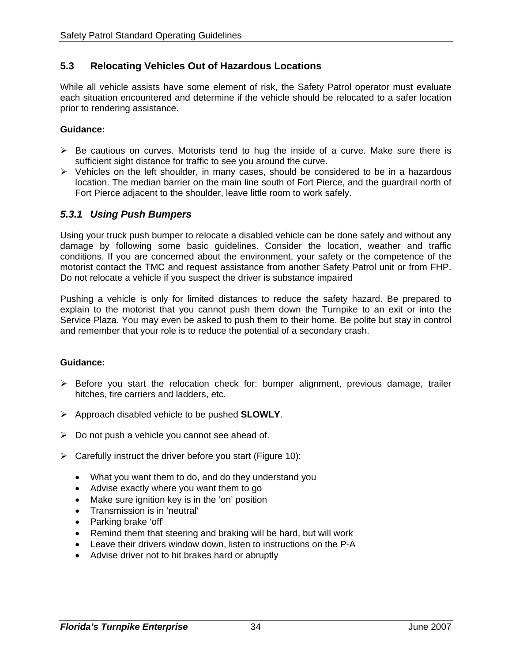## **5.3 Relocating Vehicles Out of Hazardous Locations**

While all vehicle assists have some element of risk, the Safety Patrol operator must evaluate each situation encountered and determine if the vehicle should be relocated to a safer location prior to rendering assistance.

#### **Guidance:**

- $\triangleright$  Be cautious on curves. Motorists tend to hug the inside of a curve. Make sure there is sufficient sight distance for traffic to see you around the curve.
- ¾ Vehicles on the left shoulder, in many cases, should be considered to be in a hazardous location. The median barrier on the main line south of Fort Pierce, and the guardrail north of Fort Pierce adjacent to the shoulder, leave little room to work safely.

#### *5.3.1 Using Push Bumpers*

Using your truck push bumper to relocate a disabled vehicle can be done safely and without any damage by following some basic guidelines. Consider the location, weather and traffic conditions. If you are concerned about the environment, your safety or the competence of the motorist contact the TMC and request assistance from another Safety Patrol unit or from FHP. Do not relocate a vehicle if you suspect the driver is substance impaired

Pushing a vehicle is only for limited distances to reduce the safety hazard. Be prepared to explain to the motorist that you cannot push them down the Turnpike to an exit or into the Service Plaza. You may even be asked to push them to their home. Be polite but stay in control and remember that your role is to reduce the potential of a secondary crash.

- $\triangleright$  Before you start the relocation check for: bumper alignment, previous damage, trailer hitches, tire carriers and ladders, etc.
- ¾ Approach disabled vehicle to be pushed **SLOWLY**.
- $\triangleright$  Do not push a vehicle you cannot see ahead of.
- $\triangleright$  Carefully instruct the driver before you start (Figure 10):
	- What you want them to do, and do they understand you
	- Advise exactly where you want them to go
	- Make sure ignition key is in the 'on' position
	- Transmission is in 'neutral'
	- Parking brake 'off'
	- Remind them that steering and braking will be hard, but will work
	- Leave their drivers window down, listen to instructions on the P-A
	- Advise driver not to hit brakes hard or abruptly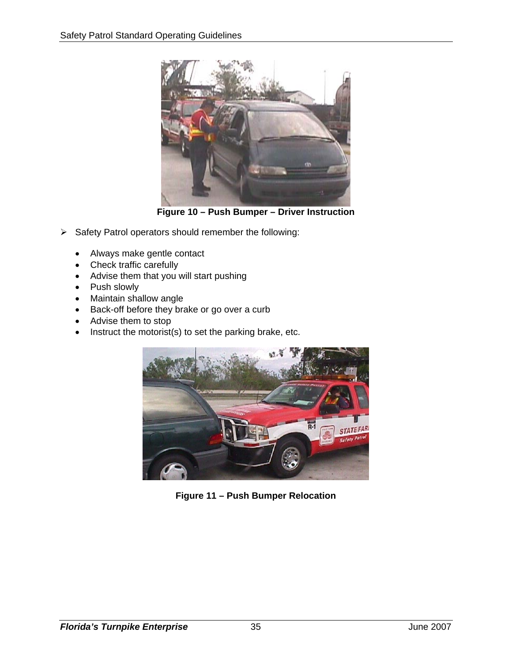

**Figure 10 – Push Bumper – Driver Instruction** 

- ¾ Safety Patrol operators should remember the following:
	- Always make gentle contact
	- Check traffic carefully
	- Advise them that you will start pushing
	- Push slowly
	- Maintain shallow angle
	- Back-off before they brake or go over a curb
	- Advise them to stop
	- Instruct the motorist(s) to set the parking brake, etc.



**Figure 11 – Push Bumper Relocation**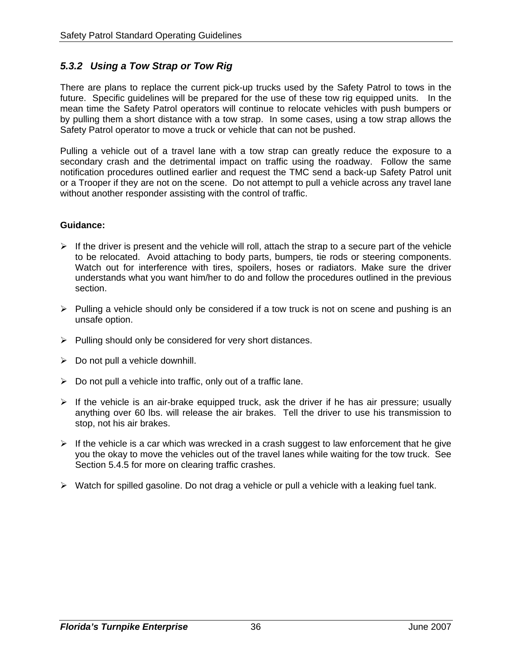## *5.3.2 Using a Tow Strap or Tow Rig*

There are plans to replace the current pick-up trucks used by the Safety Patrol to tows in the future. Specific guidelines will be prepared for the use of these tow rig equipped units. In the mean time the Safety Patrol operators will continue to relocate vehicles with push bumpers or by pulling them a short distance with a tow strap. In some cases, using a tow strap allows the Safety Patrol operator to move a truck or vehicle that can not be pushed.

Pulling a vehicle out of a travel lane with a tow strap can greatly reduce the exposure to a secondary crash and the detrimental impact on traffic using the roadway. Follow the same notification procedures outlined earlier and request the TMC send a back-up Safety Patrol unit or a Trooper if they are not on the scene. Do not attempt to pull a vehicle across any travel lane without another responder assisting with the control of traffic.

- $\triangleright$  If the driver is present and the vehicle will roll, attach the strap to a secure part of the vehicle to be relocated. Avoid attaching to body parts, bumpers, tie rods or steering components. Watch out for interference with tires, spoilers, hoses or radiators. Make sure the driver understands what you want him/her to do and follow the procedures outlined in the previous section.
- $\triangleright$  Pulling a vehicle should only be considered if a tow truck is not on scene and pushing is an unsafe option.
- $\triangleright$  Pulling should only be considered for very short distances.
- $\triangleright$  Do not pull a vehicle downhill.
- $\triangleright$  Do not pull a vehicle into traffic, only out of a traffic lane.
- $\triangleright$  If the vehicle is an air-brake equipped truck, ask the driver if he has air pressure; usually anything over 60 lbs. will release the air brakes. Tell the driver to use his transmission to stop, not his air brakes.
- $\triangleright$  If the vehicle is a car which was wrecked in a crash suggest to law enforcement that he give you the okay to move the vehicles out of the travel lanes while waiting for the tow truck. See Section 5.4.5 for more on clearing traffic crashes.
- ¾ Watch for spilled gasoline. Do not drag a vehicle or pull a vehicle with a leaking fuel tank.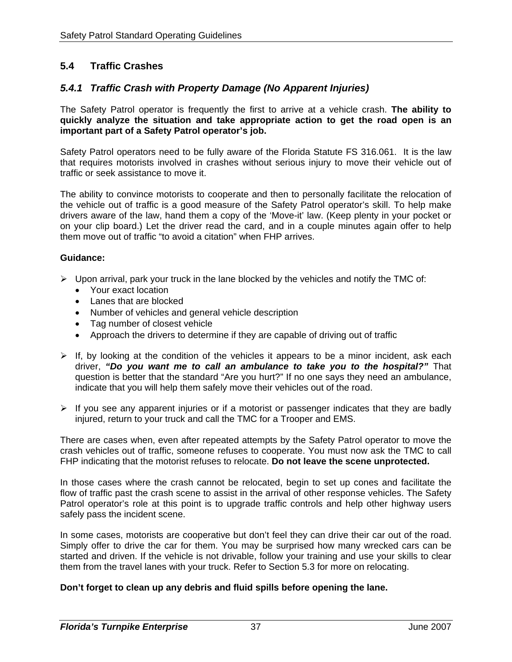## **5.4 Traffic Crashes**

## *5.4.1 Traffic Crash with Property Damage (No Apparent Injuries)*

The Safety Patrol operator is frequently the first to arrive at a vehicle crash. **The ability to quickly analyze the situation and take appropriate action to get the road open is an important part of a Safety Patrol operator's job.** 

Safety Patrol operators need to be fully aware of the Florida Statute FS 316.061. It is the law that requires motorists involved in crashes without serious injury to move their vehicle out of traffic or seek assistance to move it.

The ability to convince motorists to cooperate and then to personally facilitate the relocation of the vehicle out of traffic is a good measure of the Safety Patrol operator's skill. To help make drivers aware of the law, hand them a copy of the 'Move-it' law. (Keep plenty in your pocket or on your clip board.) Let the driver read the card, and in a couple minutes again offer to help them move out of traffic "to avoid a citation" when FHP arrives.

#### **Guidance:**

- $\triangleright$  Upon arrival, park your truck in the lane blocked by the vehicles and notify the TMC of:
	- Your exact location
	- Lanes that are blocked
	- Number of vehicles and general vehicle description
	- Tag number of closest vehicle
	- Approach the drivers to determine if they are capable of driving out of traffic
- $\triangleright$  If, by looking at the condition of the vehicles it appears to be a minor incident, ask each driver, *"Do you want me to call an ambulance to take you to the hospital?"* That question is better that the standard "Are you hurt?" If no one says they need an ambulance, indicate that you will help them safely move their vehicles out of the road.
- $\triangleright$  If you see any apparent injuries or if a motorist or passenger indicates that they are badly injured, return to your truck and call the TMC for a Trooper and EMS.

There are cases when, even after repeated attempts by the Safety Patrol operator to move the crash vehicles out of traffic, someone refuses to cooperate. You must now ask the TMC to call FHP indicating that the motorist refuses to relocate. **Do not leave the scene unprotected.** 

In those cases where the crash cannot be relocated, begin to set up cones and facilitate the flow of traffic past the crash scene to assist in the arrival of other response vehicles. The Safety Patrol operator's role at this point is to upgrade traffic controls and help other highway users safely pass the incident scene.

In some cases, motorists are cooperative but don't feel they can drive their car out of the road. Simply offer to drive the car for them. You may be surprised how many wrecked cars can be started and driven. If the vehicle is not drivable, follow your training and use your skills to clear them from the travel lanes with your truck. Refer to Section 5.3 for more on relocating.

#### **Don't forget to clean up any debris and fluid spills before opening the lane.**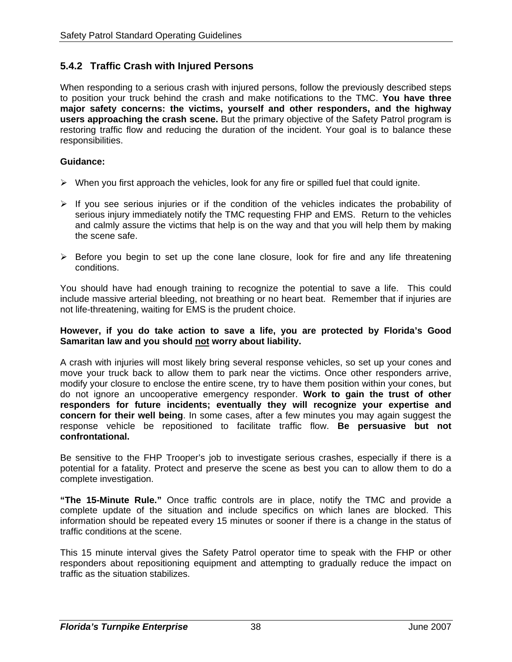## **5.4.2 Traffic Crash with Injured Persons**

When responding to a serious crash with injured persons, follow the previously described steps to position your truck behind the crash and make notifications to the TMC. **You have three major safety concerns: the victims, yourself and other responders, and the highway users approaching the crash scene.** But the primary objective of the Safety Patrol program is restoring traffic flow and reducing the duration of the incident. Your goal is to balance these responsibilities.

#### **Guidance:**

- $\triangleright$  When you first approach the vehicles, look for any fire or spilled fuel that could ignite.
- $\triangleright$  If you see serious injuries or if the condition of the vehicles indicates the probability of serious injury immediately notify the TMC requesting FHP and EMS. Return to the vehicles and calmly assure the victims that help is on the way and that you will help them by making the scene safe.
- $\triangleright$  Before you begin to set up the cone lane closure, look for fire and any life threatening conditions.

You should have had enough training to recognize the potential to save a life. This could include massive arterial bleeding, not breathing or no heart beat. Remember that if injuries are not life-threatening, waiting for EMS is the prudent choice.

#### **However, if you do take action to save a life, you are protected by Florida's Good Samaritan law and you should not worry about liability.**

A crash with injuries will most likely bring several response vehicles, so set up your cones and move your truck back to allow them to park near the victims. Once other responders arrive, modify your closure to enclose the entire scene, try to have them position within your cones, but do not ignore an uncooperative emergency responder. **Work to gain the trust of other responders for future incidents; eventually they will recognize your expertise and concern for their well being**. In some cases, after a few minutes you may again suggest the response vehicle be repositioned to facilitate traffic flow. **Be persuasive but not confrontational.** 

Be sensitive to the FHP Trooper's job to investigate serious crashes, especially if there is a potential for a fatality. Protect and preserve the scene as best you can to allow them to do a complete investigation.

**"The 15-Minute Rule."** Once traffic controls are in place, notify the TMC and provide a complete update of the situation and include specifics on which lanes are blocked. This information should be repeated every 15 minutes or sooner if there is a change in the status of traffic conditions at the scene.

This 15 minute interval gives the Safety Patrol operator time to speak with the FHP or other responders about repositioning equipment and attempting to gradually reduce the impact on traffic as the situation stabilizes.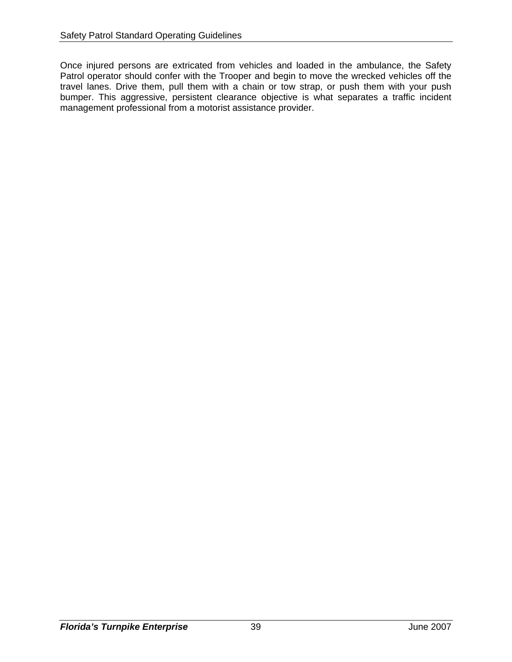Once injured persons are extricated from vehicles and loaded in the ambulance, the Safety Patrol operator should confer with the Trooper and begin to move the wrecked vehicles off the travel lanes. Drive them, pull them with a chain or tow strap, or push them with your push bumper. This aggressive, persistent clearance objective is what separates a traffic incident management professional from a motorist assistance provider.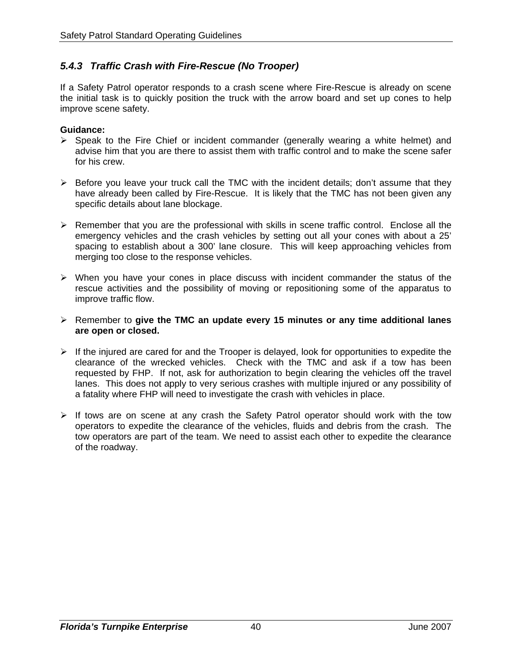## *5.4.3 Traffic Crash with Fire-Rescue (No Trooper)*

If a Safety Patrol operator responds to a crash scene where Fire-Rescue is already on scene the initial task is to quickly position the truck with the arrow board and set up cones to help improve scene safety.

- $\triangleright$  Speak to the Fire Chief or incident commander (generally wearing a white helmet) and advise him that you are there to assist them with traffic control and to make the scene safer for his crew.
- $\triangleright$  Before you leave your truck call the TMC with the incident details; don't assume that they have already been called by Fire-Rescue. It is likely that the TMC has not been given any specific details about lane blockage.
- $\triangleright$  Remember that you are the professional with skills in scene traffic control. Enclose all the emergency vehicles and the crash vehicles by setting out all your cones with about a 25' spacing to establish about a 300' lane closure. This will keep approaching vehicles from merging too close to the response vehicles.
- $\triangleright$  When you have your cones in place discuss with incident commander the status of the rescue activities and the possibility of moving or repositioning some of the apparatus to improve traffic flow.
- ¾ Remember to **give the TMC an update every 15 minutes or any time additional lanes are open or closed.**
- $\triangleright$  If the injured are cared for and the Trooper is delayed, look for opportunities to expedite the clearance of the wrecked vehicles. Check with the TMC and ask if a tow has been requested by FHP. If not, ask for authorization to begin clearing the vehicles off the travel lanes. This does not apply to very serious crashes with multiple injured or any possibility of a fatality where FHP will need to investigate the crash with vehicles in place.
- $\triangleright$  If tows are on scene at any crash the Safety Patrol operator should work with the tow operators to expedite the clearance of the vehicles, fluids and debris from the crash. The tow operators are part of the team. We need to assist each other to expedite the clearance of the roadway.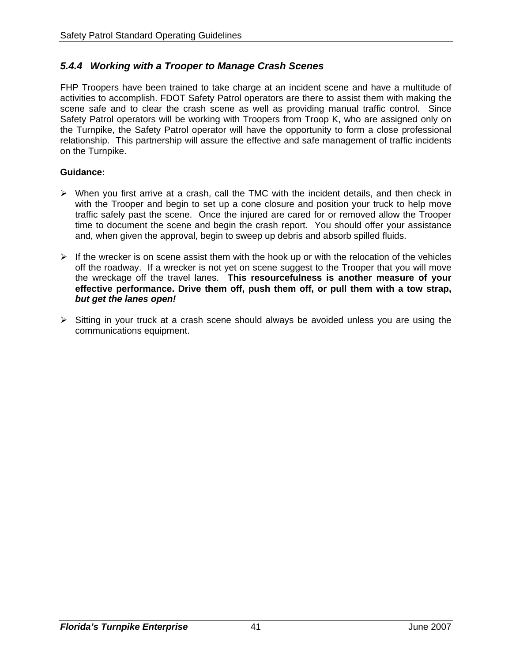## *5.4.4 Working with a Trooper to Manage Crash Scenes*

FHP Troopers have been trained to take charge at an incident scene and have a multitude of activities to accomplish. FDOT Safety Patrol operators are there to assist them with making the scene safe and to clear the crash scene as well as providing manual traffic control. Since Safety Patrol operators will be working with Troopers from Troop K, who are assigned only on the Turnpike, the Safety Patrol operator will have the opportunity to form a close professional relationship. This partnership will assure the effective and safe management of traffic incidents on the Turnpike.

- $\triangleright$  When you first arrive at a crash, call the TMC with the incident details, and then check in with the Trooper and begin to set up a cone closure and position your truck to help move traffic safely past the scene. Once the injured are cared for or removed allow the Trooper time to document the scene and begin the crash report. You should offer your assistance and, when given the approval, begin to sweep up debris and absorb spilled fluids.
- $\triangleright$  If the wrecker is on scene assist them with the hook up or with the relocation of the vehicles off the roadway. If a wrecker is not yet on scene suggest to the Trooper that you will move the wreckage off the travel lanes. **This resourcefulness is another measure of your effective performance. Drive them off, push them off, or pull them with a tow strap,**  *but get the lanes open!*
- $\triangleright$  Sitting in your truck at a crash scene should always be avoided unless you are using the communications equipment.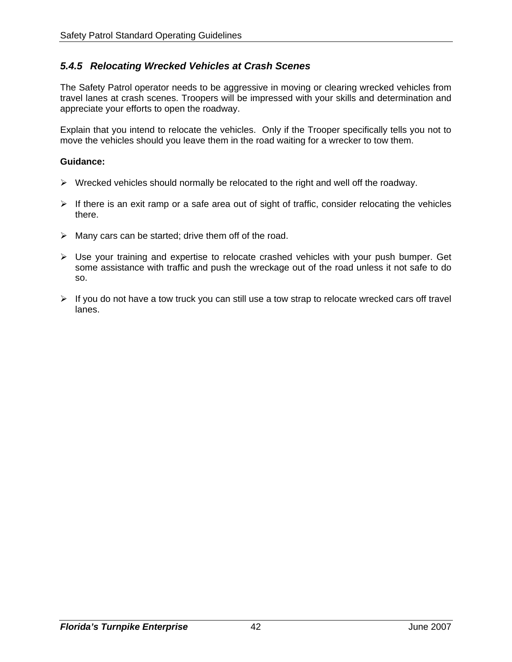## *5.4.5 Relocating Wrecked Vehicles at Crash Scenes*

The Safety Patrol operator needs to be aggressive in moving or clearing wrecked vehicles from travel lanes at crash scenes. Troopers will be impressed with your skills and determination and appreciate your efforts to open the roadway.

Explain that you intend to relocate the vehicles. Only if the Trooper specifically tells you not to move the vehicles should you leave them in the road waiting for a wrecker to tow them.

- $\triangleright$  Wrecked vehicles should normally be relocated to the right and well off the roadway.
- $\triangleright$  If there is an exit ramp or a safe area out of sight of traffic, consider relocating the vehicles there.
- $\triangleright$  Many cars can be started; drive them off of the road.
- ¾ Use your training and expertise to relocate crashed vehicles with your push bumper. Get some assistance with traffic and push the wreckage out of the road unless it not safe to do so.
- $\triangleright$  If you do not have a tow truck you can still use a tow strap to relocate wrecked cars off travel lanes.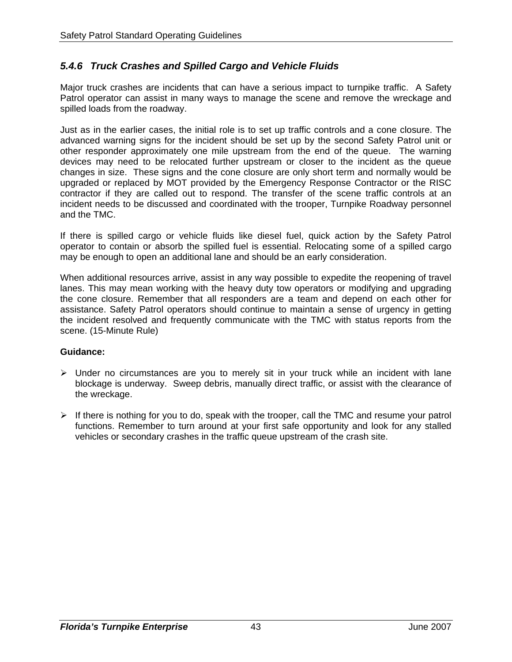## *5.4.6 Truck Crashes and Spilled Cargo and Vehicle Fluids*

Major truck crashes are incidents that can have a serious impact to turnpike traffic. A Safety Patrol operator can assist in many ways to manage the scene and remove the wreckage and spilled loads from the roadway.

Just as in the earlier cases, the initial role is to set up traffic controls and a cone closure. The advanced warning signs for the incident should be set up by the second Safety Patrol unit or other responder approximately one mile upstream from the end of the queue. The warning devices may need to be relocated further upstream or closer to the incident as the queue changes in size. These signs and the cone closure are only short term and normally would be upgraded or replaced by MOT provided by the Emergency Response Contractor or the RISC contractor if they are called out to respond. The transfer of the scene traffic controls at an incident needs to be discussed and coordinated with the trooper, Turnpike Roadway personnel and the TMC.

If there is spilled cargo or vehicle fluids like diesel fuel, quick action by the Safety Patrol operator to contain or absorb the spilled fuel is essential. Relocating some of a spilled cargo may be enough to open an additional lane and should be an early consideration.

When additional resources arrive, assist in any way possible to expedite the reopening of travel lanes. This may mean working with the heavy duty tow operators or modifying and upgrading the cone closure. Remember that all responders are a team and depend on each other for assistance. Safety Patrol operators should continue to maintain a sense of urgency in getting the incident resolved and frequently communicate with the TMC with status reports from the scene. (15-Minute Rule)

- $\triangleright$  Under no circumstances are you to merely sit in your truck while an incident with lane blockage is underway. Sweep debris, manually direct traffic, or assist with the clearance of the wreckage.
- $\triangleright$  If there is nothing for you to do, speak with the trooper, call the TMC and resume your patrol functions. Remember to turn around at your first safe opportunity and look for any stalled vehicles or secondary crashes in the traffic queue upstream of the crash site.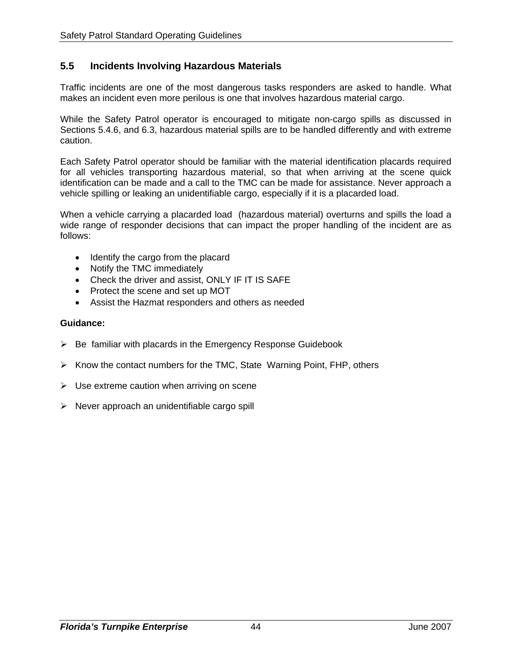## **5.5 Incidents Involving Hazardous Materials**

Traffic incidents are one of the most dangerous tasks responders are asked to handle. What makes an incident even more perilous is one that involves hazardous material cargo.

While the Safety Patrol operator is encouraged to mitigate non-cargo spills as discussed in Sections 5.4.6, and 6.3, hazardous material spills are to be handled differently and with extreme caution.

Each Safety Patrol operator should be familiar with the material identification placards required for all vehicles transporting hazardous material, so that when arriving at the scene quick identification can be made and a call to the TMC can be made for assistance. Never approach a vehicle spilling or leaking an unidentifiable cargo, especially if it is a placarded load.

When a vehicle carrying a placarded load (hazardous material) overturns and spills the load a wide range of responder decisions that can impact the proper handling of the incident are as follows:

- Identify the cargo from the placard
- Notify the TMC immediately
- Check the driver and assist, ONLY IF IT IS SAFE
- Protect the scene and set up MOT
- Assist the Hazmat responders and others as needed

- $\triangleright$  Be familiar with placards in the Emergency Response Guidebook
- $\triangleright$  Know the contact numbers for the TMC, State Warning Point, FHP, others
- $\triangleright$  Use extreme caution when arriving on scene
- $\triangleright$  Never approach an unidentifiable cargo spill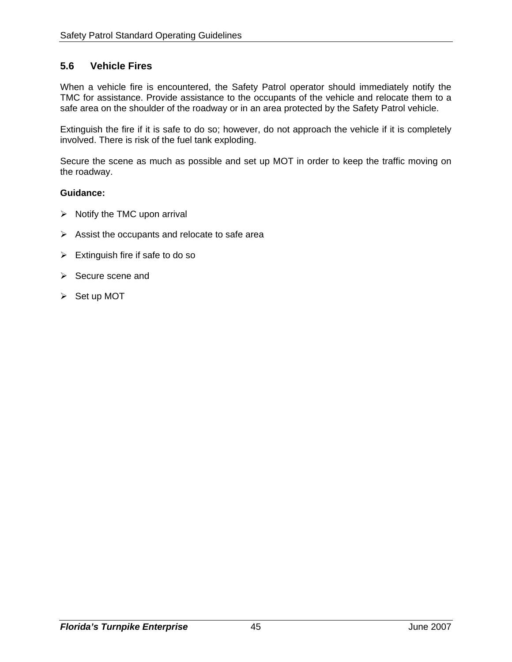## **5.6 Vehicle Fires**

When a vehicle fire is encountered, the Safety Patrol operator should immediately notify the TMC for assistance. Provide assistance to the occupants of the vehicle and relocate them to a safe area on the shoulder of the roadway or in an area protected by the Safety Patrol vehicle.

Extinguish the fire if it is safe to do so; however, do not approach the vehicle if it is completely involved. There is risk of the fuel tank exploding.

Secure the scene as much as possible and set up MOT in order to keep the traffic moving on the roadway.

- $\triangleright$  Notify the TMC upon arrival
- $\triangleright$  Assist the occupants and relocate to safe area
- $\triangleright$  Extinguish fire if safe to do so
- ¾ Secure scene and
- $\triangleright$  Set up MOT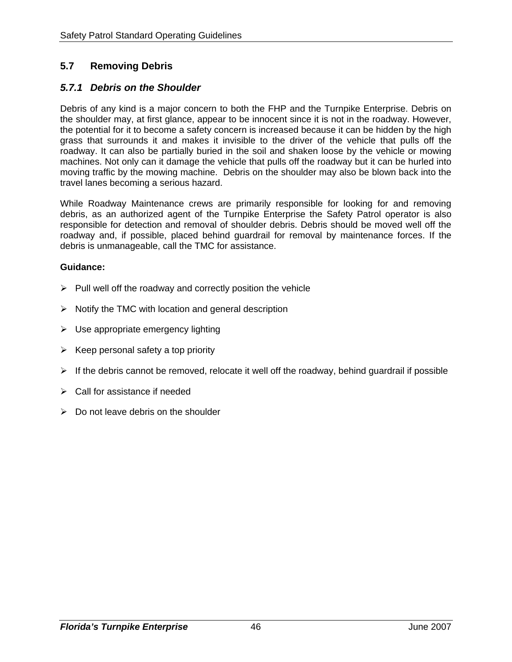## **5.7 Removing Debris**

## *5.7.1 Debris on the Shoulder*

Debris of any kind is a major concern to both the FHP and the Turnpike Enterprise. Debris on the shoulder may, at first glance, appear to be innocent since it is not in the roadway. However, the potential for it to become a safety concern is increased because it can be hidden by the high grass that surrounds it and makes it invisible to the driver of the vehicle that pulls off the roadway. It can also be partially buried in the soil and shaken loose by the vehicle or mowing machines. Not only can it damage the vehicle that pulls off the roadway but it can be hurled into moving traffic by the mowing machine. Debris on the shoulder may also be blown back into the travel lanes becoming a serious hazard.

While Roadway Maintenance crews are primarily responsible for looking for and removing debris, as an authorized agent of the Turnpike Enterprise the Safety Patrol operator is also responsible for detection and removal of shoulder debris. Debris should be moved well off the roadway and, if possible, placed behind guardrail for removal by maintenance forces. If the debris is unmanageable, call the TMC for assistance.

- $\triangleright$  Pull well off the roadway and correctly position the vehicle
- $\triangleright$  Notify the TMC with location and general description
- $\triangleright$  Use appropriate emergency lighting
- $\triangleright$  Keep personal safety a top priority
- $\triangleright$  If the debris cannot be removed, relocate it well off the roadway, behind guardrail if possible
- $\triangleright$  Call for assistance if needed
- $\triangleright$  Do not leave debris on the shoulder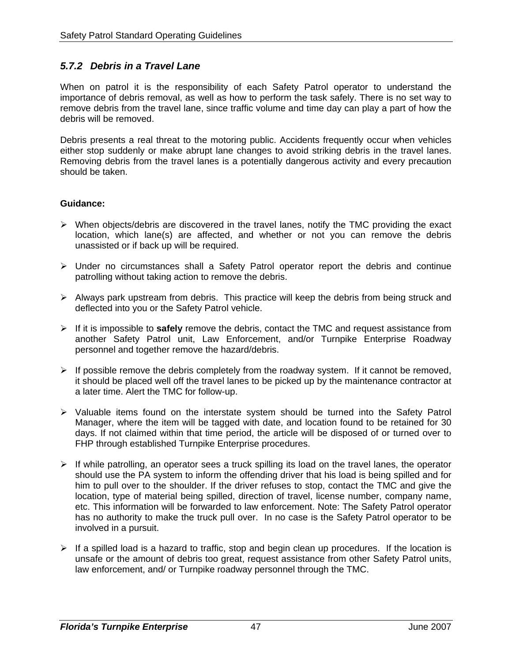## *5.7.2 Debris in a Travel Lane*

When on patrol it is the responsibility of each Safety Patrol operator to understand the importance of debris removal, as well as how to perform the task safely. There is no set way to remove debris from the travel lane, since traffic volume and time day can play a part of how the debris will be removed.

Debris presents a real threat to the motoring public. Accidents frequently occur when vehicles either stop suddenly or make abrupt lane changes to avoid striking debris in the travel lanes. Removing debris from the travel lanes is a potentially dangerous activity and every precaution should be taken.

- $\triangleright$  When objects/debris are discovered in the travel lanes, notify the TMC providing the exact location, which lane(s) are affected, and whether or not you can remove the debris unassisted or if back up will be required.
- ¾ Under no circumstances shall a Safety Patrol operator report the debris and continue patrolling without taking action to remove the debris.
- $\triangleright$  Always park upstream from debris. This practice will keep the debris from being struck and deflected into you or the Safety Patrol vehicle.
- ¾ If it is impossible to **safely** remove the debris, contact the TMC and request assistance from another Safety Patrol unit, Law Enforcement, and/or Turnpike Enterprise Roadway personnel and together remove the hazard/debris.
- $\triangleright$  If possible remove the debris completely from the roadway system. If it cannot be removed, it should be placed well off the travel lanes to be picked up by the maintenance contractor at a later time. Alert the TMC for follow-up.
- $\triangleright$  Valuable items found on the interstate system should be turned into the Safety Patrol Manager, where the item will be tagged with date, and location found to be retained for 30 days. If not claimed within that time period, the article will be disposed of or turned over to FHP through established Turnpike Enterprise procedures.
- $\triangleright$  If while patrolling, an operator sees a truck spilling its load on the travel lanes, the operator should use the PA system to inform the offending driver that his load is being spilled and for him to pull over to the shoulder. If the driver refuses to stop, contact the TMC and give the location, type of material being spilled, direction of travel, license number, company name, etc. This information will be forwarded to law enforcement. Note: The Safety Patrol operator has no authority to make the truck pull over. In no case is the Safety Patrol operator to be involved in a pursuit.
- $\triangleright$  If a spilled load is a hazard to traffic, stop and begin clean up procedures. If the location is unsafe or the amount of debris too great, request assistance from other Safety Patrol units, law enforcement, and/ or Turnpike roadway personnel through the TMC.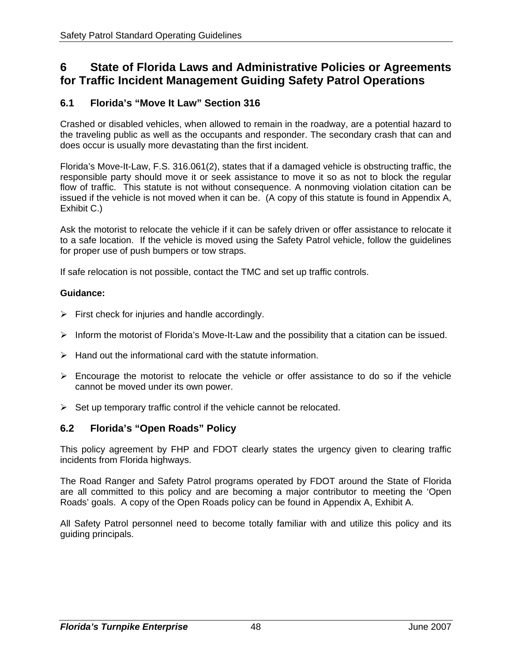# **6 State of Florida Laws and Administrative Policies or Agreements for Traffic Incident Management Guiding Safety Patrol Operations**

## **6.1 Florida's "Move It Law" Section 316**

Crashed or disabled vehicles, when allowed to remain in the roadway, are a potential hazard to the traveling public as well as the occupants and responder. The secondary crash that can and does occur is usually more devastating than the first incident.

Florida's Move-It-Law, F.S. 316.061(2), states that if a damaged vehicle is obstructing traffic, the responsible party should move it or seek assistance to move it so as not to block the regular flow of traffic. This statute is not without consequence. A nonmoving violation citation can be issued if the vehicle is not moved when it can be. (A copy of this statute is found in Appendix A, Exhibit C.)

Ask the motorist to relocate the vehicle if it can be safely driven or offer assistance to relocate it to a safe location. If the vehicle is moved using the Safety Patrol vehicle, follow the guidelines for proper use of push bumpers or tow straps.

If safe relocation is not possible, contact the TMC and set up traffic controls.

#### **Guidance:**

- $\triangleright$  First check for injuries and handle accordingly.
- $\triangleright$  Inform the motorist of Florida's Move-It-Law and the possibility that a citation can be issued.
- $\triangleright$  Hand out the informational card with the statute information.
- $\triangleright$  Encourage the motorist to relocate the vehicle or offer assistance to do so if the vehicle cannot be moved under its own power.
- $\triangleright$  Set up temporary traffic control if the vehicle cannot be relocated.

## **6.2 Florida's "Open Roads" Policy**

This policy agreement by FHP and FDOT clearly states the urgency given to clearing traffic incidents from Florida highways.

The Road Ranger and Safety Patrol programs operated by FDOT around the State of Florida are all committed to this policy and are becoming a major contributor to meeting the 'Open Roads' goals. A copy of the Open Roads policy can be found in Appendix A, Exhibit A.

All Safety Patrol personnel need to become totally familiar with and utilize this policy and its guiding principals.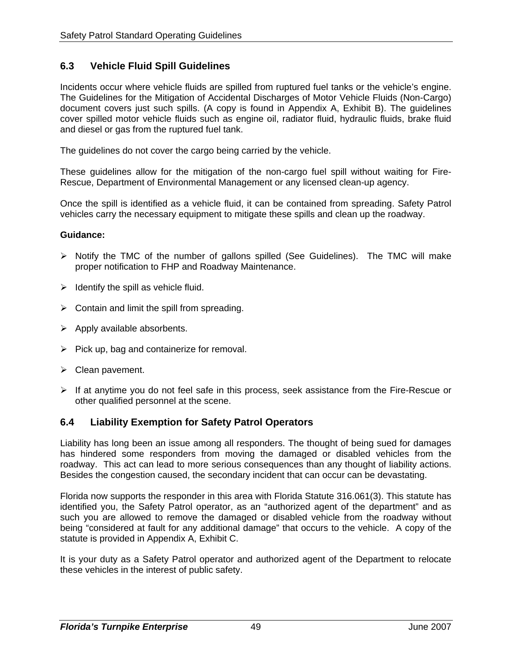## **6.3 Vehicle Fluid Spill Guidelines**

Incidents occur where vehicle fluids are spilled from ruptured fuel tanks or the vehicle's engine. The Guidelines for the Mitigation of Accidental Discharges of Motor Vehicle Fluids (Non-Cargo) document covers just such spills. (A copy is found in Appendix A, Exhibit B). The guidelines cover spilled motor vehicle fluids such as engine oil, radiator fluid, hydraulic fluids, brake fluid and diesel or gas from the ruptured fuel tank.

The guidelines do not cover the cargo being carried by the vehicle.

These guidelines allow for the mitigation of the non-cargo fuel spill without waiting for Fire-Rescue, Department of Environmental Management or any licensed clean-up agency.

Once the spill is identified as a vehicle fluid, it can be contained from spreading. Safety Patrol vehicles carry the necessary equipment to mitigate these spills and clean up the roadway.

#### **Guidance:**

- ¾ Notify the TMC of the number of gallons spilled (See Guidelines). The TMC will make proper notification to FHP and Roadway Maintenance.
- $\triangleright$  Identify the spill as vehicle fluid.
- $\triangleright$  Contain and limit the spill from spreading.
- $\triangleright$  Apply available absorbents.
- $\triangleright$  Pick up, bag and containerize for removal.
- $\triangleright$  Clean pavement.
- ¾ If at anytime you do not feel safe in this process, seek assistance from the Fire-Rescue or other qualified personnel at the scene.

#### **6.4 Liability Exemption for Safety Patrol Operators**

Liability has long been an issue among all responders. The thought of being sued for damages has hindered some responders from moving the damaged or disabled vehicles from the roadway. This act can lead to more serious consequences than any thought of liability actions. Besides the congestion caused, the secondary incident that can occur can be devastating.

Florida now supports the responder in this area with Florida Statute 316.061(3). This statute has identified you, the Safety Patrol operator, as an "authorized agent of the department" and as such you are allowed to remove the damaged or disabled vehicle from the roadway without being "considered at fault for any additional damage" that occurs to the vehicle. A copy of the statute is provided in Appendix A, Exhibit C.

It is your duty as a Safety Patrol operator and authorized agent of the Department to relocate these vehicles in the interest of public safety.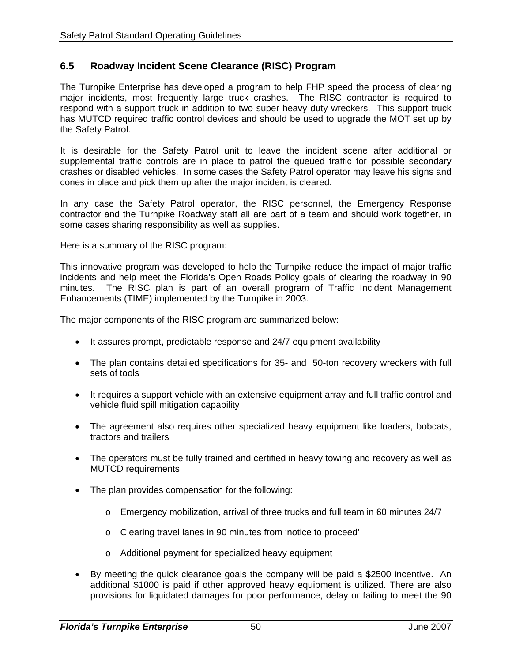## **6.5 Roadway Incident Scene Clearance (RISC) Program**

The Turnpike Enterprise has developed a program to help FHP speed the process of clearing major incidents, most frequently large truck crashes. The RISC contractor is required to respond with a support truck in addition to two super heavy duty wreckers. This support truck has MUTCD required traffic control devices and should be used to upgrade the MOT set up by the Safety Patrol.

It is desirable for the Safety Patrol unit to leave the incident scene after additional or supplemental traffic controls are in place to patrol the queued traffic for possible secondary crashes or disabled vehicles. In some cases the Safety Patrol operator may leave his signs and cones in place and pick them up after the major incident is cleared.

In any case the Safety Patrol operator, the RISC personnel, the Emergency Response contractor and the Turnpike Roadway staff all are part of a team and should work together, in some cases sharing responsibility as well as supplies.

Here is a summary of the RISC program:

This innovative program was developed to help the Turnpike reduce the impact of major traffic incidents and help meet the Florida's Open Roads Policy goals of clearing the roadway in 90 minutes. The RISC plan is part of an overall program of Traffic Incident Management Enhancements (TIME) implemented by the Turnpike in 2003.

The major components of the RISC program are summarized below:

- It assures prompt, predictable response and 24/7 equipment availability
- The plan contains detailed specifications for 35- and 50-ton recovery wreckers with full sets of tools
- It requires a support vehicle with an extensive equipment array and full traffic control and vehicle fluid spill mitigation capability
- The agreement also requires other specialized heavy equipment like loaders, bobcats, tractors and trailers
- The operators must be fully trained and certified in heavy towing and recovery as well as MUTCD requirements
- The plan provides compensation for the following:
	- $\circ$  Emergency mobilization, arrival of three trucks and full team in 60 minutes 24/7
	- o Clearing travel lanes in 90 minutes from 'notice to proceed'
	- o Additional payment for specialized heavy equipment
- By meeting the quick clearance goals the company will be paid a \$2500 incentive. An additional \$1000 is paid if other approved heavy equipment is utilized. There are also provisions for liquidated damages for poor performance, delay or failing to meet the 90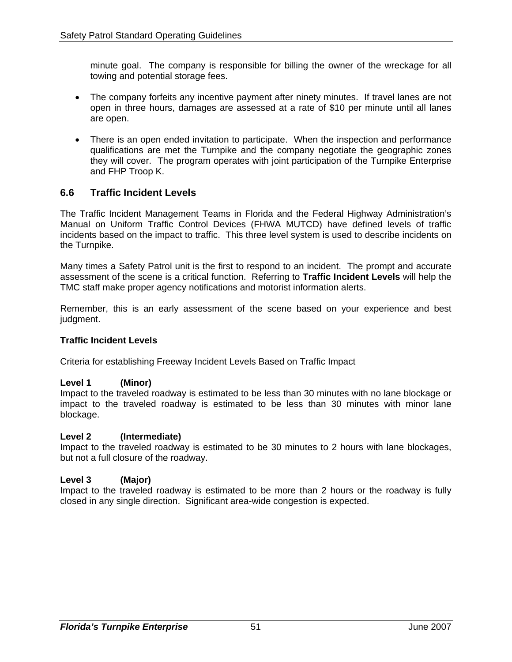minute goal. The company is responsible for billing the owner of the wreckage for all towing and potential storage fees.

- The company forfeits any incentive payment after ninety minutes. If travel lanes are not open in three hours, damages are assessed at a rate of \$10 per minute until all lanes are open.
- There is an open ended invitation to participate. When the inspection and performance qualifications are met the Turnpike and the company negotiate the geographic zones they will cover. The program operates with joint participation of the Turnpike Enterprise and FHP Troop K.

## **6.6 Traffic Incident Levels**

The Traffic Incident Management Teams in Florida and the Federal Highway Administration's Manual on Uniform Traffic Control Devices (FHWA MUTCD) have defined levels of traffic incidents based on the impact to traffic. This three level system is used to describe incidents on the Turnpike.

Many times a Safety Patrol unit is the first to respond to an incident. The prompt and accurate assessment of the scene is a critical function. Referring to **Traffic Incident Levels** will help the TMC staff make proper agency notifications and motorist information alerts.

Remember, this is an early assessment of the scene based on your experience and best judgment.

#### **Traffic Incident Levels**

Criteria for establishing Freeway Incident Levels Based on Traffic Impact

#### **Level 1 (Minor)**

Impact to the traveled roadway is estimated to be less than 30 minutes with no lane blockage or impact to the traveled roadway is estimated to be less than 30 minutes with minor lane blockage.

#### **Level 2 (Intermediate)**

Impact to the traveled roadway is estimated to be 30 minutes to 2 hours with lane blockages, but not a full closure of the roadway.

#### **Level 3 (Major)**

Impact to the traveled roadway is estimated to be more than 2 hours or the roadway is fully closed in any single direction. Significant area-wide congestion is expected.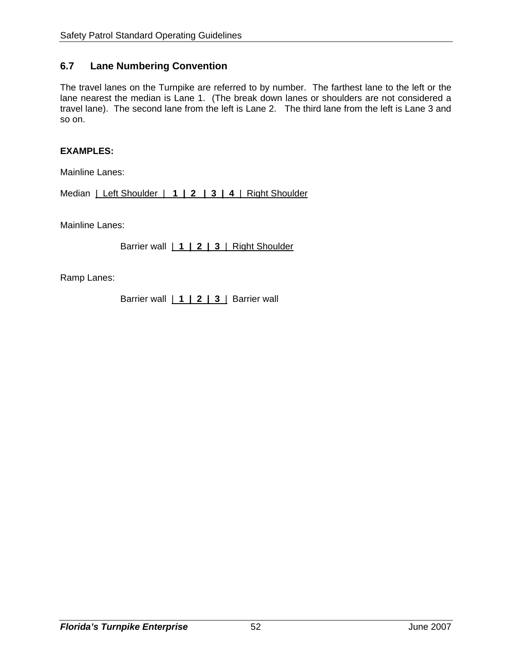## **6.7 Lane Numbering Convention**

The travel lanes on the Turnpike are referred to by number. The farthest lane to the left or the lane nearest the median is Lane 1. (The break down lanes or shoulders are not considered a travel lane). The second lane from the left is Lane 2. The third lane from the left is Lane 3 and so on.

#### **EXAMPLES:**

Mainline Lanes:

Median | Left Shoulder | **1 | 2 | 3 | 4** | Right Shoulder

Mainline Lanes:

Barrier wall | **1 | 2 | 3** | Right Shoulder

Ramp Lanes:

Barrier wall | **1 | 2 | 3** | Barrier wall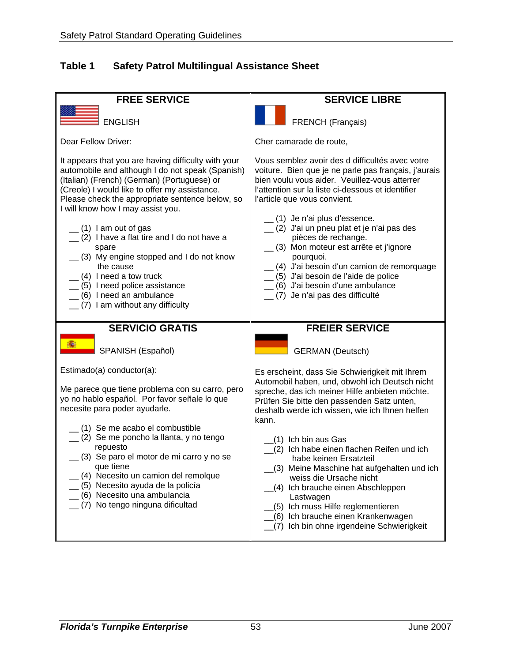## **Table 1 Safety Patrol Multilingual Assistance Sheet**

![](_page_57_Figure_2.jpeg)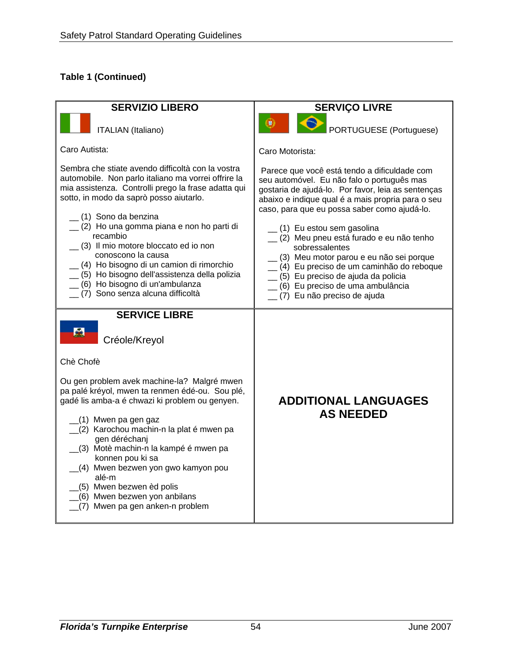## **Table 1 (Continued)**

![](_page_58_Figure_2.jpeg)